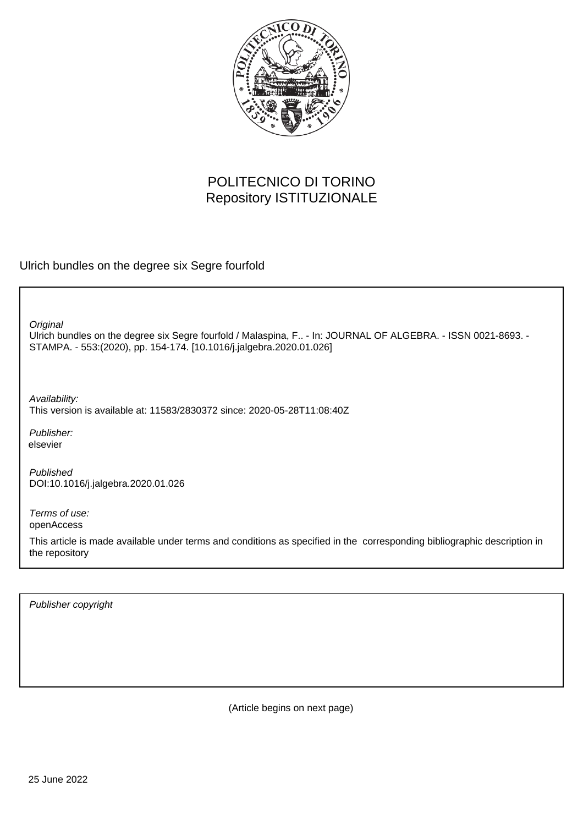

# POLITECNICO DI TORINO Repository ISTITUZIONALE

Ulrich bundles on the degree six Segre fourfold

Ulrich bundles on the degree six Segre fourfold / Malaspina, F.. - In: JOURNAL OF ALGEBRA. - ISSN 0021-8693. - STAMPA. - 553:(2020), pp. 154-174. [10.1016/j.jalgebra.2020.01.026] **Original** 

Availability: This version is available at: 11583/2830372 since: 2020-05-28T11:08:40Z

Publisher: elsevier

Published DOI:10.1016/j.jalgebra.2020.01.026

Terms of use: openAccess

This article is made available under terms and conditions as specified in the corresponding bibliographic description in the repository

Publisher copyright

(Article begins on next page)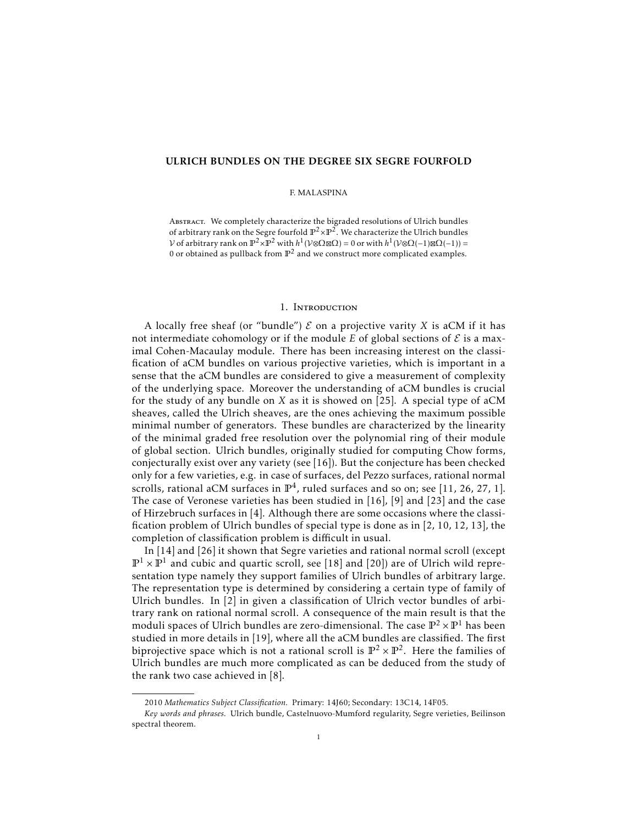#### ULRICH BUNDLES ON THE DEGREE SIX SEGRE FOURFOLD

#### F. MALASPINA

Abstract. We completely characterize the bigraded resolutions of Ulrich bundles of arbitrary rank on the Segre fourfold  $\mathbb{P}^2{\times}\mathbb{P}^2.$  We characterize the Ulrich bundles  $V$  of arbitrary rank on  $\mathbb{P}^2 \times \mathbb{P}^2$  with  $h^1(V$ ⊗Ω⊠Ω) = 0 or with  $h^1(V$ ⊗Ω(−1))⊠Ω(−1)) = 0 or obtained as pullback from  $\mathbb{P}^2$  and we construct more complicated examples.

#### 1. Introduction

A locally free sheaf (or "bundle")  $\mathcal E$  on a projective varity  $X$  is aCM if it has not intermediate cohomology or if the module  $E$  of global sections of  $E$  is a maximal Cohen-Macaulay module. There has been increasing interest on the classification of aCM bundles on various projective varieties, which is important in a sense that the aCM bundles are considered to give a measurement of complexity of the underlying space. Moreover the understanding of aCM bundles is crucial for the study of any bundle on *X* as it is showed on [25]. A special type of aCM sheaves, called the Ulrich sheaves, are the ones achieving the maximum possible minimal number of generators. These bundles are characterized by the linearity of the minimal graded free resolution over the polynomial ring of their module of global section. Ulrich bundles, originally studied for computing Chow forms, conjecturally exist over any variety (see [16]). But the conjecture has been checked only for a few varieties, e.g. in case of surfaces, del Pezzo surfaces, rational normal scrolls, rational aCM surfaces in  $\mathbb{P}^4$ , ruled surfaces and so on; see [11, 26, 27, 1]. The case of Veronese varieties has been studied in [16], [9] and [23] and the case of Hirzebruch surfaces in [4]. Although there are some occasions where the classification problem of Ulrich bundles of special type is done as in [2, 10, 12, 13], the completion of classification problem is difficult in usual.

In [14] and [26] it shown that Segre varieties and rational normal scroll (except  $\mathbb{P}^1 \times \mathbb{P}^1$  and cubic and quartic scroll, see [18] and [20]) are of Ulrich wild representation type namely they support families of Ulrich bundles of arbitrary large. The representation type is determined by considering a certain type of family of Ulrich bundles. In [2] in given a classification of Ulrich vector bundles of arbitrary rank on rational normal scroll. A consequence of the main result is that the moduli spaces of Ulrich bundles are zero-dimensional. The case  $\mathbb{P}^2 \times \mathbb{P}^1$  has been studied in more details in [19], where all the aCM bundles are classified. The first biprojective space which is not a rational scroll is  $\mathbb{P}^2 \times \mathbb{P}^2$ . Here the families of Ulrich bundles are much more complicated as can be deduced from the study of the rank two case achieved in [8].

<sup>2010</sup> *Mathematics Subject Classification.* Primary: 14J60; Secondary: 13C14, 14F05.

*Key words and phrases.* Ulrich bundle, Castelnuovo-Mumford regularity, Segre verieties, Beilinson spectral theorem.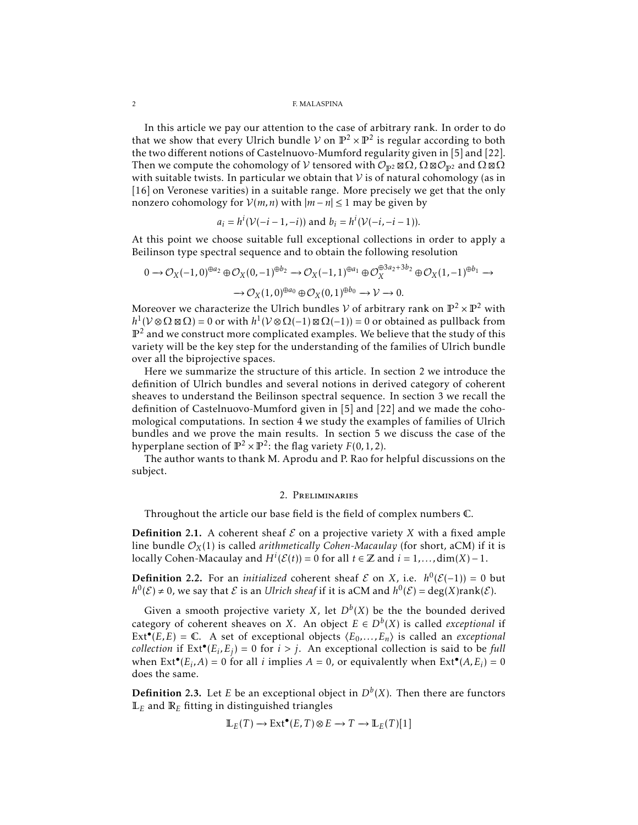In this article we pay our attention to the case of arbitrary rank. In order to do that we show that every Ulrich bundle  $\mathcal V$  on  $\mathbb P^2\times \mathbb P^2$  is regular according to both the two different notions of Castelnuovo-Mumford regularity given in [5] and [22]. Then we compute the cohomology of  $\cal V$  tensored with  $\cal O_{\Bbb P^2}$   $\boxtimes \Omega$  ,  $\Omega$   $\boxtimes \cal O_{\Bbb P^2}$  and  $\Omega$   $\boxtimes \Omega$ with suitable twists. In particular we obtain that  $V$  is of natural cohomology (as in [16] on Veronese varities) in a suitable range. More precisely we get that the only nonzero cohomology for  $V(m, n)$  with  $|m - n| \leq 1$  may be given by

$$
a_i = h^i(V(-i-1, -i))
$$
 and  $b_i = h^i(V(-i, -i-1)).$ 

At this point we choose suitable full exceptional collections in order to apply a Beilinson type spectral sequence and to obtain the following resolution

$$
0 \to \mathcal{O}_X(-1,0)^{\oplus a_2} \oplus \mathcal{O}_X(0,-1)^{\oplus b_2} \to \mathcal{O}_X(-1,1)^{\oplus a_1} \oplus \mathcal{O}_X^{\oplus 3a_2+3b_2} \oplus \mathcal{O}_X(1,-1)^{\oplus b_1} \to
$$
  

$$
\to \mathcal{O}_X(1,0)^{\oplus a_0} \oplus \mathcal{O}_X(0,1)^{\oplus b_0} \to \mathcal{V} \to 0.
$$

Moreover we characterize the Ulrich bundles V of arbitrary rank on  $\mathbb{P}^2 \times \mathbb{P}^2$  with  $h^1(V \otimes \Omega \boxtimes \Omega) = 0$  or with  $h^1(V \otimes \Omega(-1) \boxtimes \Omega(-1)) = 0$  or obtained as pullback from  $\mathbb{P}^2$  and we construct more complicated examples. We believe that the study of this variety will be the key step for the understanding of the families of Ulrich bundle over all the biprojective spaces.

Here we summarize the structure of this article. In section 2 we introduce the definition of Ulrich bundles and several notions in derived category of coherent sheaves to understand the Beilinson spectral sequence. In section 3 we recall the definition of Castelnuovo-Mumford given in [5] and [22] and we made the cohomological computations. In section 4 we study the examples of families of Ulrich bundles and we prove the main results. In section 5 we discuss the case of the hyperplane section of  $\mathbb{P}^2 \times \mathbb{P}^2$ : the flag variety  $F(0,1,2)$ .

The author wants to thank M. Aprodu and P. Rao for helpful discussions on the subject.

#### 2. Preliminaries

Throughout the article our base field is the field of complex numbers C.

**Definition 2.1.** A coherent sheaf  $\mathcal{E}$  on a projective variety *X* with a fixed ample line bundle  $\mathcal{O}_X(1)$  is called *arithmetically Cohen-Macaulay* (for short, aCM) if it is locally Cohen-Macaulay and  $H^i(\mathcal{E}(t)) = 0$  for all  $t \in \mathbb{Z}$  and  $i = 1,...,dim(X) - 1$ .

**Definition 2.2.** For an *initialized* coherent sheaf  $\mathcal{E}$  on  $X$ , i.e.  $h^0(\mathcal{E}(-1)) = 0$  but  $h^0(\mathcal{E}) \neq 0$ , we say that  $\mathcal E$  is an *Ulrich sheaf* if it is aCM and  $h^0(\mathcal{E}) = \deg(X)$ rank( $\mathcal E$ ).

Given a smooth projective variety *X*, let  $D^b(X)$  be the the bounded derived category of coherent sheaves on *X*. An object  $E \in D^b(X)$  is called *exceptional* if  $Ext^{\bullet}(E,E) = \mathbb{C}$ . A set of exceptional objects  $\langle E_0, \ldots, E_n \rangle$  is called an *exceptional collection* if  $Ext^{\bullet}(E_i, E_j) = 0$  for  $i > j$ . An exceptional collection is said to be *full* when  $Ext^{\bullet}(E_i, A) = 0$  for all *i* implies  $A = 0$ , or equivalently when  $Ext^{\bullet}(A, E_i) = 0$ does the same.

**Definition 2.3.** Let *E* be an exceptional object in  $D^b(X)$ . Then there are functors L*<sup>E</sup>* and R*<sup>E</sup>* fitting in distinguished triangles

$$
\mathbb{L}_E(T) \to \text{Ext}^{\bullet}(E, T) \otimes E \to T \to \mathbb{L}_E(T)[1]
$$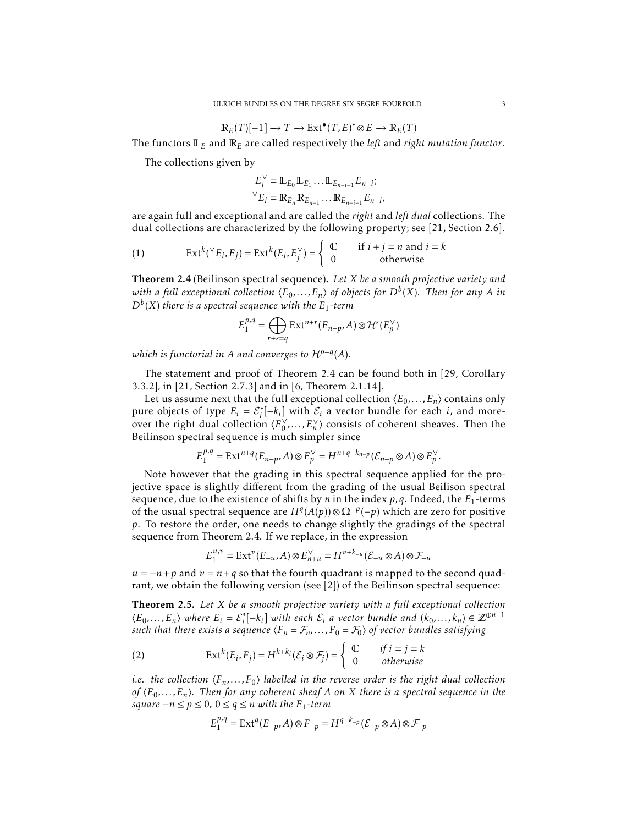$$
\mathbb{R}_E(T)[-1] \to T \to \text{Ext}^{\bullet}(T,E)^* \otimes E \to \mathbb{R}_E(T)
$$

The functors L*<sup>E</sup>* and R*<sup>E</sup>* are called respectively the *left* and *right mutation functor*.

The collections given by

$$
E_i^{\vee} = \mathbb{L}_{E_0} \mathbb{L}_{E_1} \dots \mathbb{L}_{E_{n-i-1}} E_{n-i};
$$
  

$$
{}^{\vee} E_i = \mathbb{R}_{E_n} \mathbb{R}_{E_{n-1}} \dots \mathbb{R}_{E_{n-i+1}} E_{n-i},
$$

are again full and exceptional and are called the *right* and *left dual* collections. The dual collections are characterized by the following property; see [21, Section 2.6].

(1) 
$$
\operatorname{Ext}^k(\,^{\vee}E_i, E_j) = \operatorname{Ext}^k(E_i, E_j^{\vee}) = \begin{cases} \mathbb{C} & \text{if } i + j = n \text{ and } i = k \\ 0 & \text{otherwise} \end{cases}
$$

Theorem 2.4 (Beilinson spectral sequence). *Let X be a smooth projective variety and with a full exceptional collection* ⟨*E*0*,...,En*⟩ *of objects for D<sup>b</sup>* (*X*)*. Then for any A in*  $D^b(X)$  *there is a spectral sequence with the*  $E_1$ *-term* 

$$
E_1^{p,q} = \bigoplus_{r+s=q} \operatorname{Ext}^{n+r}(E_{n-p}, A) \otimes \mathcal{H}^s(E_p^{\vee})
$$

*which is functorial in A and converges to* H*p*+*<sup>q</sup>* (*A*)*.*

The statement and proof of Theorem 2.4 can be found both in [29, Corollary 3.3.2], in [21, Section 2.7.3] and in [6, Theorem 2.1.14].

Let us assume next that the full exceptional collection  $\langle E_0,\ldots,E_n\rangle$  contains only pure objects of type  $E_i = \mathcal{E}_i^*[-k_i]$  with  $\mathcal{E}_i$  a vector bundle for each *i*, and moreover the right dual collection  $\langle E_0^{\vee},...,E_n^{\vee} \rangle$  consists of coherent sheaves. Then the Beilinson spectral sequence is much simpler since

$$
E_1^{p,q} = \text{Ext}^{n+q}(E_{n-p}, A) \otimes E_p^{\vee} = H^{n+q+k_{n-p}}(\mathcal{E}_{n-p} \otimes A) \otimes E_p^{\vee}.
$$

Note however that the grading in this spectral sequence applied for the projective space is slightly different from the grading of the usual Beilison spectral sequence, due to the existence of shifts by *n* in the index *p,q*. Indeed, the *E*1-terms of the usual spectral sequence are  $H^q(A(p)) \otimes \Omega^{-p}(-p)$  which are zero for positive *p*. To restore the order, one needs to change slightly the gradings of the spectral sequence from Theorem 2.4. If we replace, in the expression

$$
E_1^{u,v} = \text{Ext}^{v}(E_{-u}, A) \otimes E_{n+u}^{\vee} = H^{v+k_{-u}}(\mathcal{E}_{-u} \otimes A) \otimes \mathcal{F}_{-u}
$$

 $u = -n + p$  and  $v = n + q$  so that the fourth quadrant is mapped to the second quadrant, we obtain the following version (see [2]) of the Beilinson spectral sequence:

Theorem 2.5. *Let X be a smooth projective variety with a full exceptional collection*  $\langle E_0,\ldots,E_n\rangle$  where  $E_i = \mathcal{E}_i^*[-k_i]$  with each  $\mathcal{E}_i$  a vector bundle and  $(k_0,\ldots,k_n) \in \mathbb{Z}^{\oplus n+1}$ *such that there exists a sequence*  $\langle F_n = F_n, \ldots, F_0 = F_0 \rangle$  *of vector bundles satisfying* 

(2) 
$$
\operatorname{Ext}^k(E_i, F_j) = H^{k+k_i}(\mathcal{E}_i \otimes \mathcal{F}_j) = \begin{cases} \mathbb{C} & \text{if } i = j = k \\ 0 & \text{otherwise} \end{cases}
$$

*i.e. the collection* ⟨*Fn,...,F*0⟩ *labelled in the reverse order is the right dual collection of* ⟨*E*0*,...,En*⟩*. Then for any coherent sheaf A on X there is a spectral sequence in the square*  $−n ≤ p ≤ 0$ ,  $0 ≤ q ≤ n$  *with the*  $E_1$ -term

$$
E_1^{p,q} = \text{Ext}^q(E_{-p}, A) \otimes F_{-p} = H^{q+k_{-p}}(\mathcal{E}_{-p} \otimes A) \otimes \mathcal{F}_{-p}
$$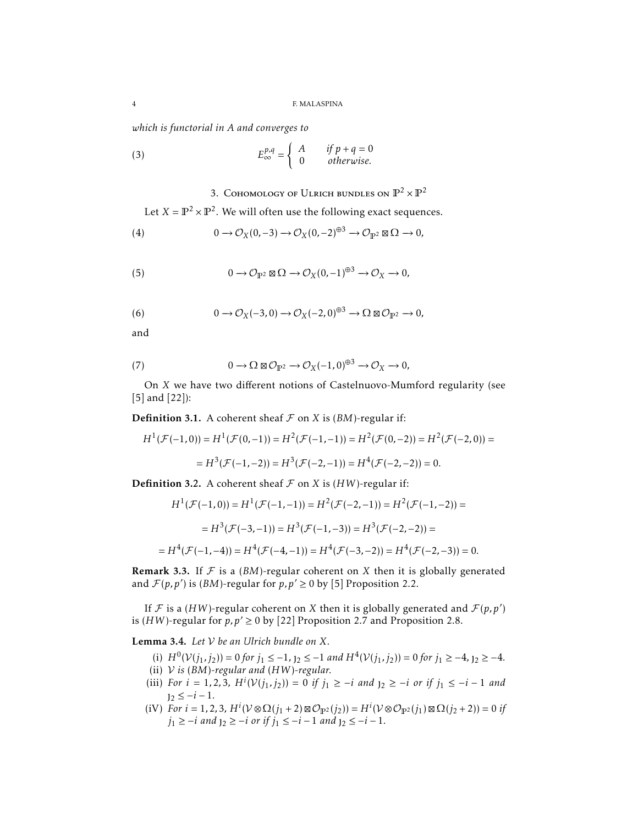*which is functorial in A and converges to*

(3) 
$$
E_{\infty}^{p,q} = \begin{cases} A & \text{if } p + q = 0 \\ 0 & \text{otherwise.} \end{cases}
$$

# 3. COHOMOLOGY OF ULRICH BUNDLES ON  $\mathbb{P}^2 \times \mathbb{P}^2$

Let  $X = \mathbb{P}^2 \times \mathbb{P}^2$ . We will often use the following exact sequences.

(4) 
$$
0 \to \mathcal{O}_X(0, -3) \to \mathcal{O}_X(0, -2)^{\oplus 3} \to \mathcal{O}_{\mathbb{P}^2} \boxtimes \Omega \to 0,
$$

(5) 
$$
0 \to \mathcal{O}_{\mathbb{P}^2} \boxtimes \Omega \to \mathcal{O}_X(0,-1)^{\oplus 3} \to \mathcal{O}_X \to 0,
$$

(6) 
$$
0 \to \mathcal{O}_X(-3,0) \to \mathcal{O}_X(-2,0)^{\oplus 3} \to \Omega \boxtimes \mathcal{O}_{\mathbb{P}^2} \to 0,
$$

and

(7) 
$$
0 \to \Omega \boxtimes \mathcal{O}_{\mathbb{P}^2} \to \mathcal{O}_X(-1,0)^{\oplus 3} \to \mathcal{O}_X \to 0,
$$

On *X* we have two different notions of Castelnuovo-Mumford regularity (see [5] and [22]):

**Definition 3.1.** A coherent sheaf  $F$  on  $X$  is  $(BM)$ -regular if:

$$
H^1(\mathcal{F}(-1,0)) = H^1(\mathcal{F}(0,-1)) = H^2(\mathcal{F}(-1,-1)) = H^2(\mathcal{F}(0,-2)) = H^2(\mathcal{F}(-2,0)) = H^3(\mathcal{F}(-1,-2)) = H^3(\mathcal{F}(-2,-1)) = H^4(\mathcal{F}(-2,-2)) = 0.
$$

**Definition 3.2.** A coherent sheaf  $F$  on  $X$  is  $(HW)$ -regular if:

$$
H^1(\mathcal{F}(-1,0)) = H^1(\mathcal{F}(-1,-1)) = H^2(\mathcal{F}(-2,-1)) = H^2(\mathcal{F}(-1,-2)) =
$$

$$
= H^3(\mathcal{F}(-3,-1)) = H^3(\mathcal{F}(-1,-3)) = H^3(\mathcal{F}(-2,-2)) =
$$

$$
= H^4(\mathcal{F}(-1,-4)) = H^4(\mathcal{F}(-4,-1)) = H^4(\mathcal{F}(-3,-2)) = H^4(\mathcal{F}(-2,-3)) = 0.
$$

**Remark 3.3.** If  $F$  is a (*BM*)-regular coherent on *X* then it is globally generated and  $\mathcal{F}(p, p')$  is (*BM*)-regular for  $p, p' \ge 0$  by [5] Proposition 2.2.

If  $F$  is a (HW)-regular coherent on  $X$  then it is globally generated and  $\mathcal{F}(p,p')$ is (*HW*)-regular for  $p, p' \ge 0$  by [22] Proposition 2.7 and Proposition 2.8.

Lemma 3.4. *Let* V *be an Ulrich bundle on X.*

- (i)  $H^0(V(j_1, j_2)) = 0$  *for*  $j_1 \le -1$ ,  $j_2 \le -1$  *and*  $H^4(V(j_1, j_2)) = 0$  *for*  $j_1 \ge -4$ ,  $j_2 \ge -4$ *.*
- (ii) V *is* (*BM*)*-regular and* (*HW* )*-regular.*
- (iii) *For*  $i = 1, 2, 3$ ,  $H^i(V(j_1, j_2)) = 0$  *if*  $j_1 ≥ -i$  *and*  $j_2 ≥ -i$  *or if*  $j_1 ≤ -i 1$  *and*  $12 \leq -i-1$ .
- $(iV)$  *For*  $i = 1, 2, 3$ ,  $H^i(V \otimes \Omega(j_1 + 2) \boxtimes \mathcal{O}_{\mathbb{P}^2}(j_2)) = H^i(V \otimes \mathcal{O}_{\mathbb{P}^2}(j_1) \boxtimes \Omega(j_2 + 2)) = 0$  if  $j_1 \ge -i$  *and*  $j_2 \ge -i$  *or if*  $j_1 \le -i - 1$  *and*  $j_2 \le -i - 1$ *.*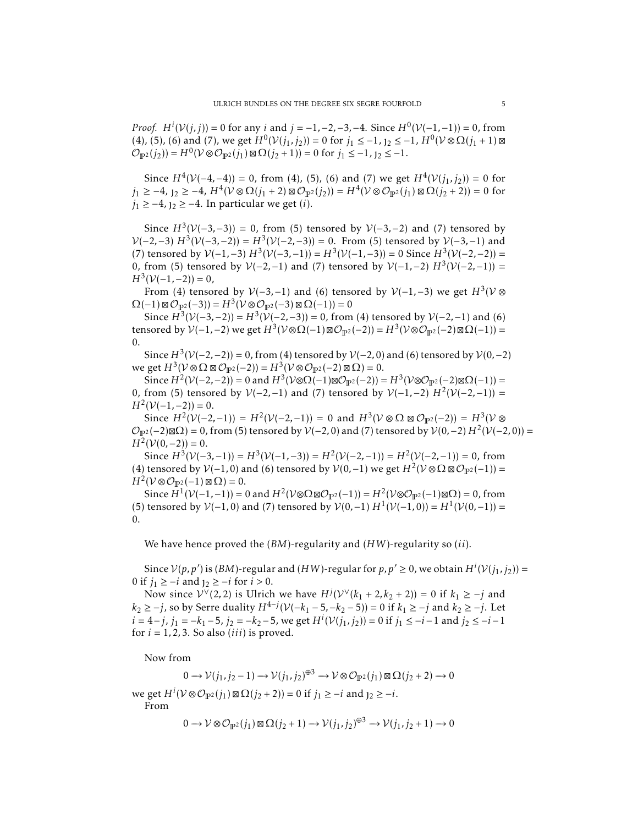*Proof. H*<sup>*i*</sup>( $V(j, j)$ ) = 0 for any *i* and *j* = −1*,*−2*,*−3*,*−4. Since *H*<sup>0</sup>( $V$ (−1*,*−1)) = 0*,* from (4), (5), (6) and (7), we get  $H^0(V(j_1, j_2)) = 0$  for  $j_1 \le -1$ ,  $j_2 \le -1$ ,  $H^0(V ⊗ Ω(j_1 + 1) ⊗ 1)$  $\mathcal{O}_{\mathbb{P}^2}(j_2) = H^0(\mathcal{V} \otimes \mathcal{O}_{\mathbb{P}^2}(j_1) \boxtimes \Omega(j_2 + 1)) = 0$  for  $j_1 \leq -1$ ,  $j_2 \leq -1$ .

Since  $H^4(\mathcal{V}(-4,-4)) = 0$ , from (4), (5), (6) and (7) we get  $H^4(\mathcal{V}(j_1,j_2)) = 0$  for  $j_1 \geq -4$ ,  $j_2 \geq -4$ ,  $H^4(\mathcal{V} \otimes \Omega(j_1 + 2) \boxtimes \mathcal{O}_{\mathbb{P}^2}(j_2)) = H^4(\mathcal{V} \otimes \mathcal{O}_{\mathbb{P}^2}(j_1) \boxtimes \Omega(j_2 + 2)) = 0$  for *j*<sub>1</sub> ≥ −4, *j*<sub>2</sub> ≥ −4. In particular we get (*i*).

Since  $H^3(V(-3,-3)) = 0$ , from (5) tensored by  $V(-3,-2)$  and (7) tensored by  $V(-2, -3)$   $H^3(V(-3, -2)) = H^3(V(-2, -3)) = 0$ . From (5) tensored by  $V(-3, -1)$  and (7) tensored by  $V(-1, -3)$   $H^3(V(-3, -1)) = H^3(V(-1, -3)) = 0$  Since  $H^3(V(-2, -2)) =$ 0, from (5) tensored by  $V(-2, -1)$  and (7) tensored by  $V(-1, -2)$   $H^3(V(-2, -1)) =$  $H^3(V(-1,-2)) = 0,$ 

From (4) tensored by  $V(-3, -1)$  and (6) tensored by  $V(-1, -3)$  we get  $H^3(V \otimes$  $\Omega(-1) \boxtimes \mathcal{O}_{\mathbb{P}^2}(-3) = H^3(\mathcal{V} \otimes \mathcal{O}_{\mathbb{P}^2}(-3) \boxtimes \Omega(-1)) = 0$ 

Since  $H^3(V(-3,-2)) = H^3(V(-2,-3)) = 0$ , from (4) tensored by  $V(-2,-1)$  and (6) tensored by  $V(-1, -2)$  we get  $H^3(V \otimes \Omega(-1) \boxtimes \mathcal{O}_{\mathbb{P}^2}(-2)) = H^3(V \otimes \mathcal{O}_{\mathbb{P}^2}(-2) \boxtimes \Omega(-1)) =$ 0.

Since  $H^3(V(-2, -2)) = 0$ , from (4) tensored by  $V(-2, 0)$  and (6) tensored by  $V(0, -2)$  $\text{we get } H^3(V \otimes \Omega \boxtimes \mathcal{O}_{\mathbb{P}^2}(-2)) = H^3(V \otimes \mathcal{O}_{\mathbb{P}^2}(-2) \boxtimes \Omega) = 0.$ 

Since *H*<sup>2</sup>( $V$ (−2,−2)) = 0 and *H*<sup>3</sup>( $V$ ⊗Ω(−1)⊠ $O_{\mathbb{P}^2}$ (−2)) = *H*<sup>3</sup>( $V$ ⊗ $O_{\mathbb{P}^2}$ (−2)⊠Ω(−1)) = 0, from (5) tensored by  $V(-2, -1)$  and (7) tensored by  $V(-1, -2)$   $H^2(V(-2, -1)) =$  $H^2(V(-1,-2)) = 0.$ 

Since  $H^2(V(-2,-1)) = H^2(V(-2,-1)) = 0$  and  $H^3(V \otimes \Omega \boxtimes \mathcal{O}_{\mathbb{P}^2}(-2)) = H^3(V \otimes \Omega)$  $\mathcal{O}_{\mathbb{P}^2}(-2) \boxtimes \Omega$  = 0, from (5) tensored by  $\mathcal{V}(-2,0)$  and (7) tensored by  $\mathcal{V}(0,-2)$  *H*<sup>2</sup>( $\mathcal{V}(-2,0)$ ) =  $H^2(V(0, -2)) = 0.$ 

Since  $H^3(V(-3,-1)) = H^3(V(-1,-3)) = H^2(V(-2,-1)) = H^2(V(-2,-1)) = 0$ , from (4) tensored by  $V(-1, 0)$  and (6) tensored by  $V(0, -1)$  we get  $H^2(V \otimes \Omega \boxtimes \mathcal{O}_{\mathbb{P}^2}(-1)) =$  $H^2(V\otimes \mathcal{O}_{\mathbb{P}^2}(-1)\boxtimes \Omega)=0.$ 

Since  $H^1(V(-1,-1)) = 0$  and  $H^2(V \otimes \Omega \boxtimes \mathcal{O}_{\mathbb{P}^2}(-1)) = H^2(V \otimes \mathcal{O}_{\mathbb{P}^2}(-1) \boxtimes \Omega) = 0$ , from (5) tensored by  $V(-1,0)$  and (7) tensored by  $V(0,-1)$  *H*<sup>1</sup>( $V(-1,0)$ ) = *H*<sup>1</sup>( $V(0,-1)$ ) = 0.

We have hence proved the (*BM*)-regularity and (*HW* )-regularity so (*ii*).

Since  $V(p, p')$  is  $(BM)$ -regular and  $(HW)$ -regular for  $p, p' \ge 0$ , we obtain  $H^i(V(j_1, j_2))$  = 0 if  $j_1$  ≥ −*i* and  $j_2$  ≥ −*i* for  $i > 0$ .

Now since  $V^{\vee}(2,2)$  is Ulrich we have  $H^j(V^{\vee}(k_1 + 2, k_2 + 2)) = 0$  if  $k_1 \geq -j$  and *k*<sub>2</sub> ≥ −*j*, so by Serre duality *H*<sup>4−*j*</sup>( $V$ (−*k*<sub>1</sub> − 5,−*k*<sub>2</sub> − 5)) = 0 if *k*<sub>1</sub> ≥ −*j* and *k*<sub>2</sub> ≥ −*j*. Let *i* = 4−*j*, *j*<sub>1</sub> = −*k*<sub>1</sub>−5, *j*<sub>2</sub> = −*k*<sub>2</sub>−5, we get *H<sup><i>i*</sup>( $V(j_1, j_2)$ ) = 0 if *j*<sub>1</sub> ≤ −*i* −1 and *j*<sub>2</sub> ≤ −*i* −1 for  $i = 1, 2, 3$ . So also *(iii)* is proved.

Now from

$$
0 \to \mathcal{V}(j_1, j_2 - 1) \to \mathcal{V}(j_1, j_2)^{\oplus 3} \to \mathcal{V} \otimes \mathcal{O}_{\mathbb{P}^2}(j_1) \boxtimes \Omega(j_2 + 2) \to 0
$$

we get  $H^i(\mathcal{V} \otimes \mathcal{O}_{\mathbb{P}^2}(j_1) \boxtimes \Omega(j_2 + 2)) = 0$  if  $j_1 \ge -i$  and  $j_2 \ge -i$ . From

$$
0 \to \mathcal{V} \otimes \mathcal{O}_{\mathbb{P}^2}(j_1) \boxtimes \Omega(j_2 + 1) \to \mathcal{V}(j_1, j_2)^{\oplus 3} \to \mathcal{V}(j_1, j_2 + 1) \to 0
$$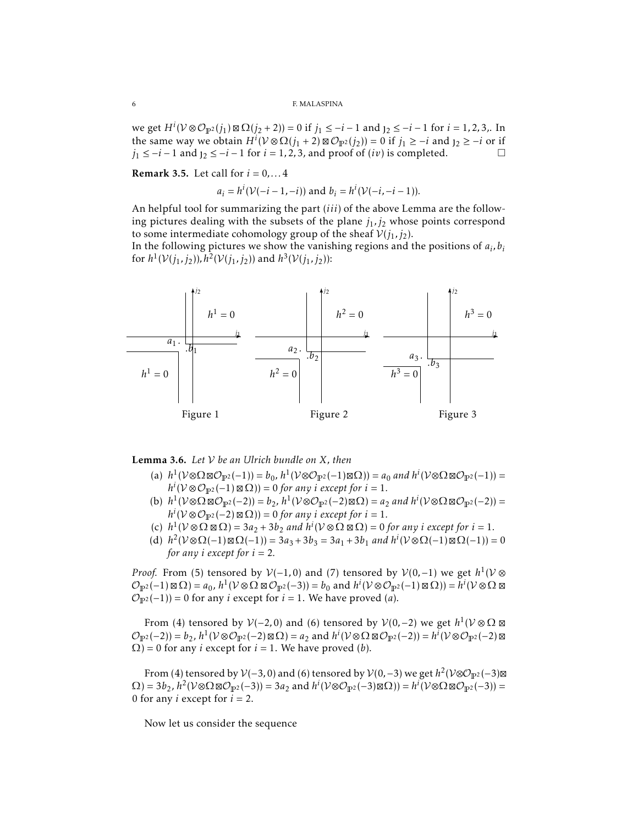$w$ e get *H<sup>i</sup>*( $V \otimes \mathcal{O}_{\mathbb{P}^2}(j_1) \boxtimes \Omega(j_2 + 2)) = 0$  if  $j_1 \leq -i - 1$  and  $j_2 \leq -i - 1$  for  $i = 1, 2, 3$ . In the same way we obtain  $H^i(V \otimes \Omega(j_1 + 2) \boxtimes \mathcal{O}_{\mathbb{P}^2}(j_2)) = 0$  if  $j_1 \geq -i$  and  $j_2 \geq -i$  or if *j*<sub>1</sub> ≤ −*i* − 1 and  $j_2$  ≤ −*i* − 1 for *i* = 1, 2, 3, and proof of (*iv*) is completed.  $\Box$ 

**Remark 3.5.** Let call for  $i = 0, \ldots 4$ 

$$
a_i = h^i(\mathcal{V}(-i-1, -i))
$$
 and  $b_i = h^i(\mathcal{V}(-i, -i-1)).$ 

An helpful tool for summarizing the part (*iii*) of the above Lemma are the following pictures dealing with the subsets of the plane *j*1*, j*<sup>2</sup> whose points correspond to some intermediate cohomology group of the sheaf  $V(j_1, j_2)$ .

In the following pictures we show the vanishing regions and the positions of  $a_i$ ,  $b_i$ for  $h^1(\mathcal{V}(j_1, j_2)), h^2(\mathcal{V}(j_1, j_2))$  and  $h^3(\mathcal{V}(j_1, j_2))$ :



Lemma 3.6. *Let* V *be an Ulrich bundle on X, then*

- (a)  $h^1(V \otimes \Omega \boxtimes \mathcal{O}_{\mathbb{P}^2}(-1)) = b_0$ ,  $h^1(V \otimes \mathcal{O}_{\mathbb{P}^2}(-1) \boxtimes \Omega) = a_0$  and  $h^i(V \otimes \Omega \boxtimes \mathcal{O}_{\mathbb{P}^2}(-1)) =$  $h^i(V \otimes \mathcal{O}_{\mathbb{P}^2}(-1) \boxtimes \Omega$ )) = 0 *for any i except for*  $i = 1$ *.*
- (b)  $h^1(V \otimes \Omega \boxtimes \mathcal{O}_{\mathbb{P}^2}(-2)) = b_2$ ,  $h^1(V \otimes \mathcal{O}_{\mathbb{P}^2}(-2) \boxtimes \Omega) = a_2$  and  $h^i(V \otimes \Omega \boxtimes \mathcal{O}_{\mathbb{P}^2}(-2)) =$  $h^i(\mathcal{V} \otimes \mathcal{O}_{\mathbb{P}^2}(-2) \boxtimes \Omega$ )) = 0 *for any i except for i* = 1*.*
- $h^1(V \otimes \Omega \boxtimes \Omega) = 3a_2 + 3b_2$  and  $h^i(V \otimes \Omega \boxtimes \Omega) = 0$  for any *i* except for  $i = 1$ .
- $h^2(V \otimes \Omega(-1) \boxtimes \Omega(-1)) = 3a_3 + 3b_3 = 3a_1 + 3b_1$  *and*  $h^i(V \otimes \Omega(-1) \boxtimes \Omega(-1)) = 0$ *for any i except for*  $i = 2$ *.*

*Proof.* From (5) tensored by  $V(-1,0)$  and (7) tensored by  $V(0,-1)$  we get  $h^1(V \otimes$  $\mathcal{O}_{\mathbb{P}^2}(-1)\boxtimes\Omega$  =  $a_0$ ,  $h^1(\mathcal{V}\otimes\Omega\boxtimes\mathcal{O}_{\mathbb{P}^2}(-3)) = b_0$  and  $h^i(\mathcal{V}\otimes\mathcal{O}_{\mathbb{P}^2}(-1)\boxtimes\Omega) = h^i(\mathcal{V}\otimes\Omega\boxtimes\mathbb{P}^2)$  $\mathcal{O}_{\mathbb{P}^2}(-1)$ ) = 0 for any *i* except for *i* = 1. We have proved (*a*).

From (4) tensored by  $\mathcal{V}(-2,0)$  and (6) tensored by  $\mathcal{V}(0,-2)$  we get  $h^1(\mathcal{V}\otimes\Omega\boxtimes\mathbb{Z})$  $\mathcal{O}_{\mathbb{P}^2}(-2)$ ) = *b*<sub>2</sub>, *h*<sup>1</sup>( $\mathcal{V} \otimes \mathcal{O}_{\mathbb{P}^2}(-2) \boxtimes \Omega$ ) = *a*<sub>2</sub> and *h<sup>i</sup>*( $\mathcal{V} \otimes \Omega \boxtimes \mathcal{O}_{\mathbb{P}^2}(-2)$ ) = *h<sup>i</sup>*( $\mathcal{V} \otimes \mathcal{O}_{\mathbb{P}^2}(-2) \boxtimes$  $\Omega$ ) = 0 for any *i* except for *i* = 1. We have proved (*b*).

From (4) tensored by  $\mathcal{V}(-3,0)$  and (6) tensored by  $\mathcal{V}(0,-3)$  we get  $h^2(\mathcal{V}\otimes\mathcal{O}_{\mathbb{P}^2}(-3)\boxtimes$  $\Omega$ ) = 3*b*<sub>2</sub>, *h*<sup>2</sup>( $\nu$ ⊗ $\Omega$ ⊠ $\mathcal{O}_{\mathbb{P}^2}(-3)$ ) = 3*a*<sub>2</sub> and *h<sup>i</sup>*( $\nu$ ⊗ $\mathcal{O}_{\mathbb{P}^2}(-3)$ ) = *h<sup>i</sup>*( $\nu$ ⊗ $\Omega$ ⊠ $\mathcal{O}_{\mathbb{P}^2}(-3)$ ) = 0 for any *i* except for *i* = 2.

Now let us consider the sequence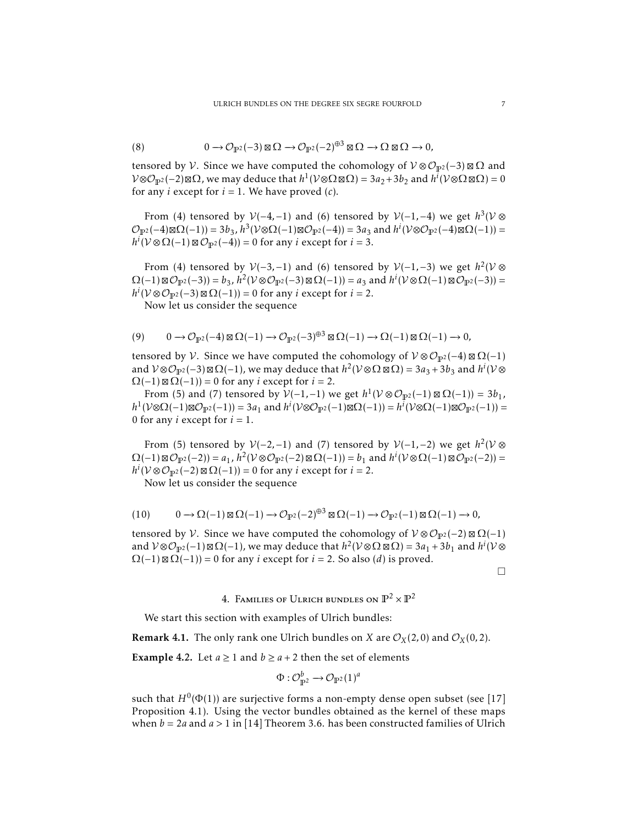(8) 
$$
0 \to \mathcal{O}_{\mathbb{P}^2}(-3) \boxtimes \Omega \to \mathcal{O}_{\mathbb{P}^2}(-2)^{\oplus 3} \boxtimes \Omega \to \Omega \boxtimes \Omega \to 0,
$$

tensored by  $\mathcal V$ . Since we have computed the cohomology of  $\mathcal V\otimes{\mathcal O}_{{\mathbb P}^2}(-3) \boxtimes \Omega$  and  ${\cal V}\otimes{\cal O}_{{\Bbb P}^2}(-2)\boxtimes\Omega$ , we may deduce that  $h^1({\cal V}\otimes\Omega\boxtimes\Omega)=3a_2+3b_2$  and  $h^i({\cal V}\otimes\Omega\boxtimes\Omega)=0$ for any *i* except for  $i = 1$ . We have proved (*c*).

From (4) tensored by  $V(-4, -1)$  and (6) tensored by  $V(-1, -4)$  we get  $h^3(V \otimes$  $\mathcal{O}_{\mathbb{P}^2}(-4) \boxtimes \Omega(-1) = 3b_3$ ,  $h^3(\mathcal{V} \otimes \Omega(-1) \boxtimes \mathcal{O}_{\mathbb{P}^2}(-4)) = 3a_3$  and  $h^i(\mathcal{V} \otimes \mathcal{O}_{\mathbb{P}^2}(-4) \boxtimes \Omega(-1)) =$  $h^i$ ( $V$ ⊗ $\Omega$ (−1)  $\boxtimes$   $\mathcal{O}_{\mathbb{P}^2}$ (−4)) = 0 for any *i* except for *i* = 3.

From (4) tensored by  $V(-3, -1)$  and (6) tensored by  $V(-1, -3)$  we get  $h^2(V \otimes$  $\Omega(-1) \boxtimes \mathcal{O}_{\mathbb{P}^2}(-3)) = b_3$ ,  $h^2(\mathcal{V} \otimes \mathcal{O}_{\mathbb{P}^2}(-3) \boxtimes \Omega(-1)) = a_3$  and  $h^i(\mathcal{V} \otimes \Omega(-1) \boxtimes \mathcal{O}_{\mathbb{P}^2}(-3)) =$  $h^i$ ( $V$ ⊗ $\mathcal{O}_{\mathbb{P}^2}$ (-3)  $\boxtimes \Omega$ (-1)) = 0 for any *i* except for *i* = 2.

Now let us consider the sequence

$$
(9) \qquad 0\longrightarrow {\mathcal O}_{{\mathbb P}^2}(-4)\boxtimes \Omega(-1) \longrightarrow {\mathcal O}_{{\mathbb P}^2}(-3)^{\oplus 3}\boxtimes \Omega(-1) \longrightarrow \Omega(-1)\boxtimes \Omega(-1) \longrightarrow 0,
$$

tensored by V. Since we have computed the cohomology of  $\mathcal{V} \otimes \mathcal{O}_{\mathbb{P}^2}(-4) \boxtimes \Omega(-1)$ and  $\mathcal{V} \otimes \mathcal{O}_{\mathbb{P}^2}(-3) \boxtimes \Omega(-1)$ , we may deduce that  $h^2(\mathcal{V} \otimes \Omega \boxtimes \Omega) = 3a_3 + 3b_3$  and  $h^i(\mathcal{V} \otimes \Omega)$  $\Omega(-1) \boxtimes \Omega(-1)$ ) = 0 for any *i* except for *i* = 2.

From (5) and (7) tensored by  $V(-1,-1)$  we get  $h^1(V \otimes \mathcal{O}_{\mathbb{P}^2}(-1) \boxtimes \Omega(-1)) = 3b_1$ ,  $h^1(\mathcal{V}\otimes\Omega(-1)\boxtimes\mathcal{O}_{\mathbb{P}^2}(-1)) = 3a_1$  and  $h^i(\mathcal{V}\otimes\mathcal{O}_{\mathbb{P}^2}(-1)\boxtimes\Omega(-1)) = h^i(\mathcal{V}\otimes\Omega(-1)\boxtimes\mathcal{O}_{\mathbb{P}^2}(-1)) =$ 0 for any *i* except for  $i = 1$ .

From (5) tensored by  $V(-2, -1)$  and (7) tensored by  $V(-1, -2)$  we get  $h^2(V \otimes$  $\Omega(-1) \boxtimes \mathcal{O}_{\mathbb{P}^2}(-2)) = a_1$ ,  $h^2(\mathcal{V} \otimes \mathcal{O}_{\mathbb{P}^2}(-2) \boxtimes \Omega(-1)) = b_1$  and  $h^i(\mathcal{V} \otimes \Omega(-1) \boxtimes \mathcal{O}_{\mathbb{P}^2}(-2)) =$  $h^i$ ( $V$ ⊗ $\mathcal{O}_{\mathbb{P}^2}$ (-2)  $\boxtimes \Omega$ (-1)) = 0 for any *i* except for *i* = 2.

Now let us consider the sequence

$$
(10) \qquad 0 \to \Omega(-1) \boxtimes \Omega(-1) \to \mathcal{O}_{\mathbb{P}^2}(-2)^{\oplus 3} \boxtimes \Omega(-1) \to \mathcal{O}_{\mathbb{P}^2}(-1) \boxtimes \Omega(-1) \to 0,
$$

tensored by V. Since we have computed the cohomology of  $\mathcal{V} \otimes \mathcal{O}_{\mathbb{P}^2}(-2) \boxtimes \Omega(-1)$ and  $V \otimes \mathcal{O}_{\mathbb{P}^2}(-1) \boxtimes \Omega(-1)$ , we may deduce that  $h^2(V \otimes \Omega \boxtimes \Omega) = 3a_1 + 3b_1$  and  $h^i(V \otimes$  $\Omega(-1) \boxtimes \Omega(-1)$ ) = 0 for any *i* except for *i* = 2. So also (*d*) is proved.

 $\Box$ 

## 4. FAMILIES OF ULRICH BUNDLES ON  $\mathbb{P}^2 \times \mathbb{P}^2$

We start this section with examples of Ulrich bundles:

**Remark 4.1.** The only rank one Ulrich bundles on *X* are  $\mathcal{O}_X(2,0)$  and  $\mathcal{O}_X(0,2)$ .

**Example 4.2.** Let  $a \ge 1$  and  $b \ge a + 2$  then the set of elements

$$
\Phi: \mathcal{O}_{\mathbb{P}^2}^b \longrightarrow \mathcal{O}_{\mathbb{P}^2}(1)^a
$$

such that  $H^0(\Phi(1))$  are surjective forms a non-empty dense open subset (see [17] Proposition 4.1). Using the vector bundles obtained as the kernel of these maps when  $b = 2a$  and  $a > 1$  in [14] Theorem 3.6. has been constructed families of Ulrich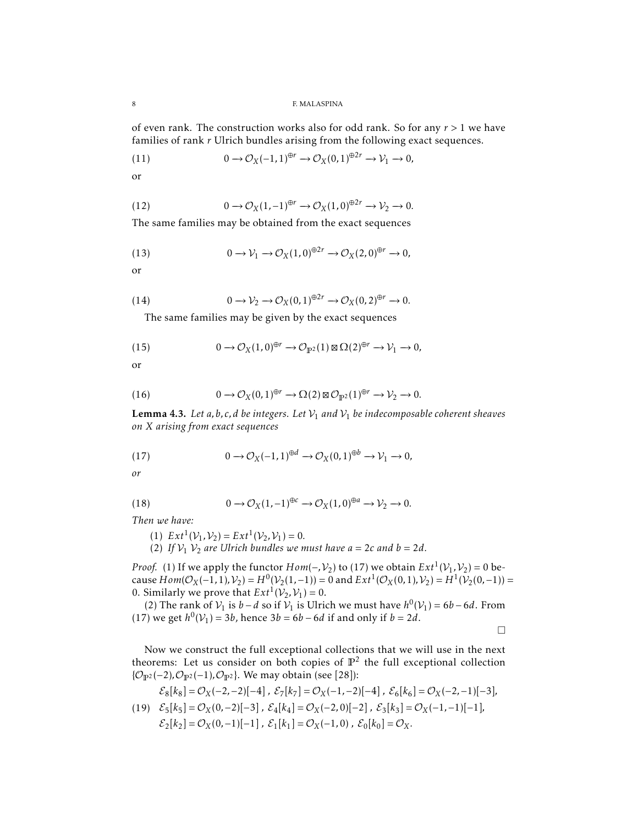of even rank. The construction works also for odd rank. So for any *r >* 1 we have families of rank *r* Ulrich bundles arising from the following exact sequences.

(11) 
$$
0 \to \mathcal{O}_X(-1,1)^{\oplus r} \to \mathcal{O}_X(0,1)^{\oplus 2r} \to \mathcal{V}_1 \to 0,
$$

or

(12) 
$$
0 \to \mathcal{O}_X(1,-1)^{\oplus r} \to \mathcal{O}_X(1,0)^{\oplus 2r} \to \mathcal{V}_2 \to 0.
$$

The same families may be obtained from the exact sequences

(13) 
$$
0 \to \mathcal{V}_1 \to \mathcal{O}_X(1,0)^{\oplus 2r} \to \mathcal{O}_X(2,0)^{\oplus r} \to 0,
$$

or

(14) 
$$
0 \to \mathcal{V}_2 \to \mathcal{O}_X(0,1)^{\oplus 2r} \to \mathcal{O}_X(0,2)^{\oplus r} \to 0.
$$

The same families may be given by the exact sequences

(15) 
$$
0 \to \mathcal{O}_X(1,0)^{\oplus r} \to \mathcal{O}_{\mathbb{P}^2}(1) \boxtimes \Omega(2)^{\oplus r} \to \mathcal{V}_1 \to 0,
$$

or

(16) 
$$
0 \to \mathcal{O}_X(0,1)^{\oplus r} \to \Omega(2) \boxtimes \mathcal{O}_{\mathbb{P}^2}(1)^{\oplus r} \to \mathcal{V}_2 \to 0.
$$

**Lemma 4.3.** Let *a*, *b*, *c*, *d be integers. Let*  $V_1$  *and*  $V_1$  *be indecomposable coherent sheaves on X arising from exact sequences*

(17) 
$$
0 \to \mathcal{O}_X(-1,1)^{\oplus d} \to \mathcal{O}_X(0,1)^{\oplus b} \to \mathcal{V}_1 \to 0,
$$

*or*

(18) 
$$
0 \to \mathcal{O}_X(1,-1)^{\oplus c} \to \mathcal{O}_X(1,0)^{\oplus a} \to \mathcal{V}_2 \to 0.
$$

*Then we have:*

(1) 
$$
Ext^1(\mathcal{V}_1, \mathcal{V}_2) = Ext^1(\mathcal{V}_2, \mathcal{V}_1) = 0.
$$

(2) If  $V_1$   $V_2$  are Ulrich bundles we must have  $a = 2c$  and  $b = 2d$ .

*Proof.* (1) If we apply the functor  $Hom(-, V_2)$  to (17) we obtain  $Ext^1(V_1, V_2) = 0$  because  $Hom(\mathcal{O}_X(-1,1), \mathcal{V}_2) = H^0(\mathcal{V}_2(1,-1)) = 0$  and  $Ext^1(\mathcal{O}_X(0,1), \mathcal{V}_2) = H^1(\mathcal{V}_2(0,-1)) = 0$ 0. Similarly we prove that  $Ext^1(\mathcal{V}_2, \mathcal{V}_1) = 0$ .

(2) The rank of  $V_1$  is *b* − *d* so if  $V_1$  is Ulrich we must have  $h^0(V_1) = 6b - 6d$ . From (17) we get  $h^0(V_1) = 3b$ , hence  $3b = 6b - 6d$  if and only if *b* = 2*d*.

 $\Box$ 

Now we construct the full exceptional collections that we will use in the next theorems: Let us consider on both copies of  $\mathbb{P}^2$  the full exceptional collection {OP<sup>2</sup> (−2)*,*OP<sup>2</sup> (−1)*,*OP<sup>2</sup> }. We may obtain (see [28]):

$$
\mathcal{E}_8[k_8] = \mathcal{O}_X(-2, -2)[-4], \ \mathcal{E}_7[k_7] = \mathcal{O}_X(-1, -2)[-4], \ \mathcal{E}_6[k_6] = \mathcal{O}_X(-2, -1)[-3],
$$
\n
$$
\mathcal{E}_5[k_5] = \mathcal{O}_X(0, -2)[-3], \ \mathcal{E}_4[k_4] = \mathcal{O}_X(-2, 0)[-2], \ \mathcal{E}_3[k_3] = \mathcal{O}_X(-1, -1)[-1],
$$
\n
$$
\mathcal{E}_2[k_2] = \mathcal{O}_X(0, -1)[-1], \ \mathcal{E}_1[k_1] = \mathcal{O}_X(-1, 0), \ \mathcal{E}_0[k_0] = \mathcal{O}_X.
$$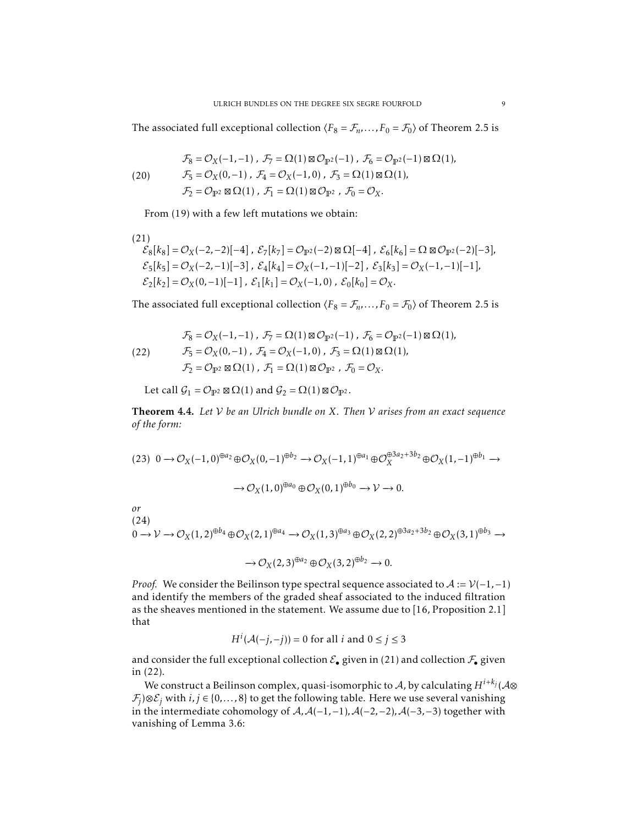The associated full exceptional collection  $\langle F_8 = F_n, \ldots, F_0 = F_0 \rangle$  of Theorem 2.5 is

(20) 
$$
\mathcal{F}_8 = \mathcal{O}_X(-1, -1), \ \mathcal{F}_7 = \Omega(1) \boxtimes \mathcal{O}_{\mathbb{P}^2}(-1), \ \mathcal{F}_6 = \mathcal{O}_{\mathbb{P}^2}(-1) \boxtimes \Omega(1), \n\mathcal{F}_5 = \mathcal{O}_X(0, -1), \ \mathcal{F}_4 = \mathcal{O}_X(-1, 0), \ \mathcal{F}_3 = \Omega(1) \boxtimes \Omega(1), \n\mathcal{F}_2 = \mathcal{O}_{\mathbb{P}^2} \boxtimes \Omega(1), \ \mathcal{F}_1 = \Omega(1) \boxtimes \mathcal{O}_{\mathbb{P}^2}, \ \mathcal{F}_0 = \mathcal{O}_X.
$$

From (19) with a few left mutations we obtain:

(21)  
\n
$$
\mathcal{E}_8[k_8] = \mathcal{O}_X(-2,-2)[-4], \ \mathcal{E}_7[k_7] = \mathcal{O}_{\mathbb{P}^2}(-2) \boxtimes \Omega[-4], \ \mathcal{E}_6[k_6] = \Omega \boxtimes \mathcal{O}_{\mathbb{P}^2}(-2)[-3],
$$
\n
$$
\mathcal{E}_5[k_5] = \mathcal{O}_X(-2,-1)[-3], \ \mathcal{E}_4[k_4] = \mathcal{O}_X(-1,-1)[-2], \ \mathcal{E}_3[k_3] = \mathcal{O}_X(-1,-1)[-1],
$$
\n
$$
\mathcal{E}_2[k_2] = \mathcal{O}_X(0,-1)[-1], \ \mathcal{E}_1[k_1] = \mathcal{O}_X(-1,0), \ \mathcal{E}_0[k_0] = \mathcal{O}_X.
$$

The associated full exceptional collection  $\langle F_8 = F_n, \ldots, F_0 = F_0 \rangle$  of Theorem 2.5 is

(22) 
$$
\mathcal{F}_8 = \mathcal{O}_X(-1, -1), \ \mathcal{F}_7 = \Omega(1) \boxtimes \mathcal{O}_{\mathbb{P}^2}(-1), \ \mathcal{F}_6 = \mathcal{O}_{\mathbb{P}^2}(-1) \boxtimes \Omega(1), \n\mathcal{F}_5 = \mathcal{O}_X(0, -1), \ \mathcal{F}_4 = \mathcal{O}_X(-1, 0), \ \mathcal{F}_3 = \Omega(1) \boxtimes \Omega(1), \n\mathcal{F}_2 = \mathcal{O}_{\mathbb{P}^2} \boxtimes \Omega(1), \ \mathcal{F}_1 = \Omega(1) \boxtimes \mathcal{O}_{\mathbb{P}^2}, \ \mathcal{F}_0 = \mathcal{O}_X.
$$

Let call  $G_1 = \mathcal{O}_{\mathbb{P}^2} \boxtimes \Omega(1)$  and  $\mathcal{G}_2 = \Omega(1) \boxtimes \mathcal{O}_{\mathbb{P}^2}$ .

Theorem 4.4. *Let* V *be an Ulrich bundle on X. Then* V *arises from an exact sequence of the form:*

$$
(23) \ 0 \to \mathcal{O}_X(-1,0)^{\oplus a_2} \oplus \mathcal{O}_X(0,-1)^{\oplus b_2} \to \mathcal{O}_X(-1,1)^{\oplus a_1} \oplus \mathcal{O}_X^{\oplus 3a_2+3b_2} \oplus \mathcal{O}_X(1,-1)^{\oplus b_1} \to
$$
  

$$
\to \mathcal{O}_X(1,0)^{\oplus a_0} \oplus \mathcal{O}_X(0,1)^{\oplus b_0} \to \mathcal{V} \to 0.
$$
  
*or*

(24)  $0 \rightarrow \mathcal{V} \rightarrow \mathcal{O}_X(1,2)^{\oplus b_4} \oplus \mathcal{O}_X(2,1)^{\oplus a_4} \rightarrow \mathcal{O}_X(1,3)^{\oplus a_3} \oplus \mathcal{O}_X(2,2)^{\oplus 3a_2+3b_2} \oplus \mathcal{O}_X(3,1)^{\oplus b_3} \rightarrow$ 

$$
\longrightarrow \mathcal{O}_X(2,3)^{\oplus a_2} \oplus \mathcal{O}_X(3,2)^{\oplus b_2} \longrightarrow 0.
$$

*Proof.* We consider the Beilinson type spectral sequence associated to  $A := V(-1, -1)$ and identify the members of the graded sheaf associated to the induced filtration as the sheaves mentioned in the statement. We assume due to [16, Proposition 2.1] that

$$
H^{i}(\mathcal{A}(-j, -j)) = 0
$$
 for all *i* and  $0 \le j \le 3$ 

and consider the full exceptional collection  $\mathcal{E}_{\bullet}$  given in (21) and collection  $\mathcal{F}_{\bullet}$  given in (22).

We construct a Beilinson complex, quasi-isomorphic to  ${\cal A}$ , by calculating  $H^{i+k_j}({\cal A}\otimes$  $\mathcal{F}_j$ )⊗ $\mathcal{E}_j$  with *i, j* ∈ {0,...,8} to get the following table. Here we use several vanishing in the intermediate cohomology of A*,*A(−1*,*−1)*,*A(−2*,*−2)*,*A(−3*,*−3) together with vanishing of Lemma 3.6: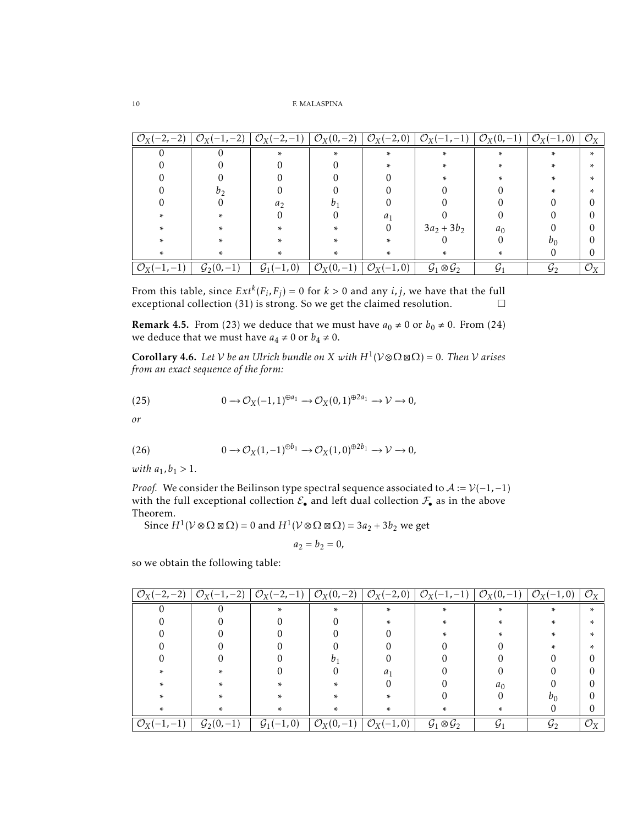| $(-2,-2)$        | $  \mathcal{O}_X(-1,-2)  $ | $\mathcal{O}_X(-2,-1)$      | $\mathcal{O}_X(0,-2) \mid \mathcal{O}_X(-2,0)$ |                       | $\mathcal{O}_X(-1,-1)$                | $\mathcal{O}_X(0,-1)$ | $\overline{\mathcal{O}}_X(-1,0)$ | $\mathcal{O}_X$            |
|------------------|----------------------------|-----------------------------|------------------------------------------------|-----------------------|---------------------------------------|-----------------------|----------------------------------|----------------------------|
|                  |                            | ÷                           | ×.                                             | ÷                     | ÷                                     | ÷                     | ÷                                | ÷                          |
|                  |                            |                             |                                                |                       |                                       |                       |                                  |                            |
|                  |                            |                             |                                                |                       |                                       |                       |                                  |                            |
|                  | b٥                         |                             |                                                |                       |                                       |                       |                                  |                            |
|                  |                            | a <sub>2</sub>              |                                                |                       |                                       |                       |                                  |                            |
|                  |                            |                             |                                                | $a_1$                 |                                       |                       |                                  |                            |
|                  |                            |                             |                                                |                       | $3a_2 + 3b_2$                         | a <sub>0</sub>        |                                  |                            |
|                  |                            |                             | ÷                                              |                       |                                       |                       |                                  |                            |
| ×.               |                            |                             | *                                              |                       |                                       | *                     |                                  |                            |
| $\gamma_{\rm v}$ | $G_2(0,-1)$                | $\mathcal{G}_1$<br>$(-1,0)$ | $\mathcal{O}_X(0,-1)$                          | $\mathcal{O}_X(-1,0)$ | $\mathcal{G}_1 \otimes \mathcal{G}_2$ | $\mathcal{G}_1$       | $\mathcal{G}_2$                  | $\mathcal{O}_{\mathbf{v}}$ |

From this table, since  $Ext^k(F_i, F_j) = 0$  for  $k > 0$  and any *i*, *j*, we have that the full exceptional collection (31) is strong. So we get the claimed resolution.  $\Box$ 

**Remark 4.5.** From (23) we deduce that we must have  $a_0 \neq 0$  or  $b_0 \neq 0$ . From (24) we deduce that we must have  $a_4 \neq 0$  or  $b_4 \neq 0$ .

**Corollary 4.6.** Let V be an Ulrich bundle on *X* with  $H^1(V \otimes \Omega \boxtimes \Omega) = 0$ . Then V arises *from an exact sequence of the form:*

(25) 
$$
0 \to \mathcal{O}_X(-1,1)^{\oplus a_1} \to \mathcal{O}_X(0,1)^{\oplus 2a_1} \to \mathcal{V} \to 0,
$$

*or*

(26) 
$$
0 \to \mathcal{O}_X(1,-1)^{\oplus b_1} \to \mathcal{O}_X(1,0)^{\oplus 2b_1} \to \mathcal{V} \to 0,
$$

*with*  $a_1, b_1 > 1$ *.* 

*Proof.* We consider the Beilinson type spectral sequence associated to  $A := V(-1, -1)$ with the full exceptional collection  $\mathcal{E}_{\bullet}$  and left dual collection  $\mathcal{F}_{\bullet}$  as in the above Theorem.

Since  $H^1(V \otimes \Omega \boxtimes \Omega) = 0$  and  $H^1(V \otimes \Omega \boxtimes \Omega) = 3a_2 + 3b_2$  we get

$$
a_2=b_2=0,
$$

so we obtain the following table:

| $\mathcal{O}_X$<br>$(-2,-2)$ | $\mathcal{O}_X(-1,-2)$ | $\mathcal{O}_X(-2,-1)$      | $\mathcal{O}_X(0,-2)$ | $\mathcal{O}_X(-2,0)$ | $\mathcal{O}_X(-1,-1)$                | $\mathcal{O}_X(0,-1)$ | $\mathcal{O}_X(-1,0)$ | $\mathcal{O}_X$ |
|------------------------------|------------------------|-----------------------------|-----------------------|-----------------------|---------------------------------------|-----------------------|-----------------------|-----------------|
|                              |                        | ×                           | st.                   |                       | ÷                                     | ×.                    | ×.                    | ×.              |
|                              |                        |                             |                       |                       |                                       |                       |                       |                 |
|                              |                        |                             |                       |                       |                                       |                       |                       |                 |
|                              |                        |                             |                       |                       |                                       |                       |                       |                 |
|                              |                        |                             |                       |                       |                                       |                       |                       |                 |
|                              |                        |                             |                       | $a_1$                 |                                       |                       |                       |                 |
|                              |                        |                             |                       |                       |                                       | a <sub>0</sub>        |                       |                 |
|                              |                        |                             |                       |                       |                                       |                       | b٥                    |                 |
|                              |                        |                             |                       |                       |                                       |                       |                       |                 |
|                              | $G_2(0,-1)$            | $(-1,0)$<br>$\mathcal{G}_1$ | $\mathcal{O}_X(0,-1)$ | $\mathcal{O}_X(-1,0)$ | $\mathcal{G}_1 \otimes \mathcal{G}_2$ | $\mathcal{G}_1$       | $\mathcal{G}_2$       |                 |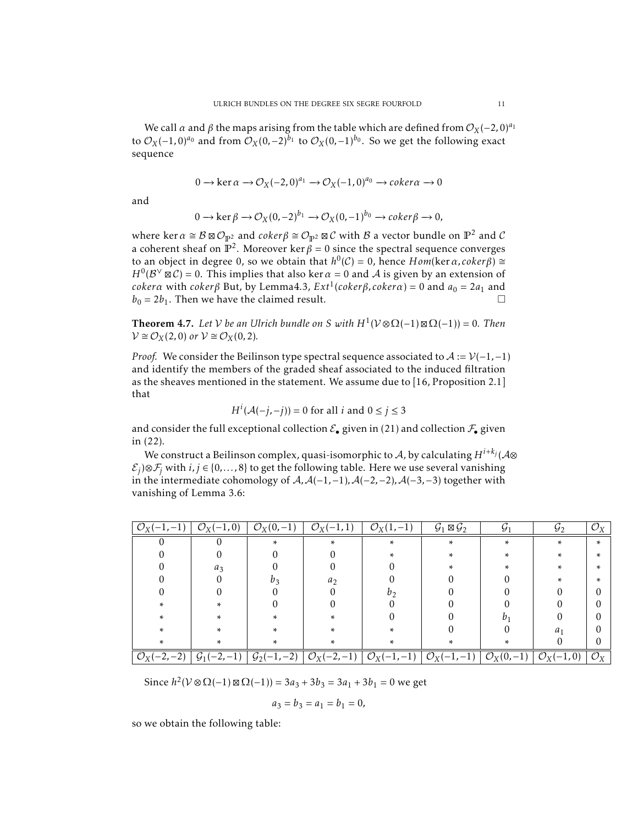We call *α* and *β* the maps arising from the table which are defined from  $O_X(-2,0)^{a_1}$ to  $\mathcal{O}_X(-1,0)^{a_0}$  and from  $\mathcal{O}_X(0,-2)^{b_1}$  to  $\mathcal{O}_X(0,-1)^{b_0}$ . So we get the following exact sequence

$$
0 \longrightarrow \ker \alpha \longrightarrow \mathcal{O}_X(-2,0)^{a_1} \longrightarrow \mathcal{O}_X(-1,0)^{a_0} \longrightarrow \text{coker}\alpha \longrightarrow 0
$$

and

$$
0 \to \ker \beta \to O_X(0, -2)^{b_1} \to O_X(0, -1)^{b_0} \to \operatorname{coker} \beta \to 0,
$$

where ker  $\alpha \cong \mathcal{B} \boxtimes \mathcal{O}_{\mathbb{P}^2}$  and  $coker \beta \cong \mathcal{O}_{\mathbb{P}^2} \boxtimes \mathcal{C}$  with  $\mathcal B$  a vector bundle on  $\mathbb{P}^2$  and  $\mathcal C$ a coherent sheaf on  $\mathbb{P}^2$ . Moreover ker  $\beta = 0$  since the spectral sequence converges to an object in degree 0, so we obtain that *h* 0 (C) = 0, hence *Hom*(ker*α, cokerβ*) *H*<sup>0</sup>( $B^{\vee}$  **⊠**  $C$ ) = 0. This implies that also ker  $\alpha$  = 0 and  $\mathcal A$  is given by an extension of *cokerα* with *cokerβ* But, by Lemma4.3,  $Ext<sup>1</sup>(cokerβ, cokerα) = 0$  and  $a<sub>0</sub> = 2a<sub>1</sub>$  and  $b_0 = 2b_1$ . Then we have the claimed result.

**Theorem 4.7.** Let *V* be an Ulrich bundle on *S* with  $H^1(V \otimes \Omega(-1) \boxtimes \Omega(-1)) = 0$ . Then  $V \cong \mathcal{O}_X(2,0)$  *or*  $V \cong \mathcal{O}_X(0,2)$ *.* 

*Proof.* We consider the Beilinson type spectral sequence associated to  $A := V(-1, -1)$ and identify the members of the graded sheaf associated to the induced filtration as the sheaves mentioned in the statement. We assume due to [16, Proposition 2.1] that

$$
H^i(\mathcal{A}(-j, -j)) = 0
$$
 for all  $i$  and  $0 \le j \le 3$ 

and consider the full exceptional collection  $\mathcal{E}_{\bullet}$  given in (21) and collection  $\mathcal{F}_{\bullet}$  given in (22).

We construct a Beilinson complex, quasi-isomorphic to  ${\cal A}$ , by calculating  $H^{i+k_j}({\cal A}\otimes$  $\mathcal{E}_j$ )⊗ $\mathcal{F}_j$  with *i, j* ∈ {0,...,8} to get the following table. Here we use several vanishing in the intermediate cohomology of  $A$ ,  $A$ (−1,−1),  $A$ (−2,−2),  $A$ (−3,−3) together with vanishing of Lemma 3.6:

| $\mathcal{O}_X$<br>$(-1,-1)$                          | $\mathcal{O}_X(-1,0)$                               | $\mathcal{O}_X(0,-1)$     | $\overline{\mathcal{O}_X(-1,1)}$ | $\mathcal{O}_X(1,-1)$                                                   | $\overline{\mathcal{G}_1 \boxtimes \mathcal{G}_2}$   | $\mathcal{G}_1$                                | $\mathcal{G}_2$       | $\overline{\mathcal{O}_X}$ |
|-------------------------------------------------------|-----------------------------------------------------|---------------------------|----------------------------------|-------------------------------------------------------------------------|------------------------------------------------------|------------------------------------------------|-----------------------|----------------------------|
|                                                       |                                                     | ×.                        | ×.                               | ×.                                                                      | ×.                                                   | ÷                                              | ×.                    | ×.                         |
|                                                       |                                                     |                           |                                  |                                                                         |                                                      |                                                |                       | ×                          |
|                                                       | $a_3$                                               |                           |                                  |                                                                         |                                                      |                                                |                       | ×                          |
|                                                       |                                                     | bз                        | a <sub>2</sub>                   |                                                                         |                                                      |                                                |                       | ÷                          |
|                                                       |                                                     |                           |                                  | b٥                                                                      |                                                      |                                                |                       |                            |
|                                                       |                                                     |                           |                                  |                                                                         |                                                      |                                                |                       |                            |
|                                                       |                                                     |                           |                                  |                                                                         |                                                      |                                                |                       |                            |
|                                                       |                                                     |                           |                                  |                                                                         |                                                      |                                                | a.                    |                            |
|                                                       |                                                     |                           |                                  |                                                                         |                                                      |                                                |                       |                            |
| $-2$ <sup><math>\lambda</math></sup><br>$\frac{1}{2}$ | $\mathcal{G}_1$<br>$-2$<br>$\overline{\phantom{m}}$ | $\mathcal{G}_2$<br>$(-2)$ | $\mathcal{O}_X$<br>$(-2,-)$      | $\mathcal{O}_X$<br>$\overline{\phantom{0}}$<br>$\overline{\phantom{0}}$ | $\mathcal{O}_{\mathbf{v}}$<br>$^{\prime}-1,$<br>$-1$ | $\mathcal{O}_X(0,$<br>$\overline{\phantom{0}}$ | $\mathcal{O}_X(-1,0)$ | $\mathcal{O}_X$            |

Since  $h^2$ ( $V$ ⊗ Ω(−1) $\boxtimes$  Ω(−1)) = 3*a*<sub>3</sub> + 3*b*<sub>3</sub> = 3*a*<sub>1</sub> + 3*b*<sub>1</sub> = 0 we get

$$
a_3 = b_3 = a_1 = b_1 = 0,
$$

so we obtain the following table: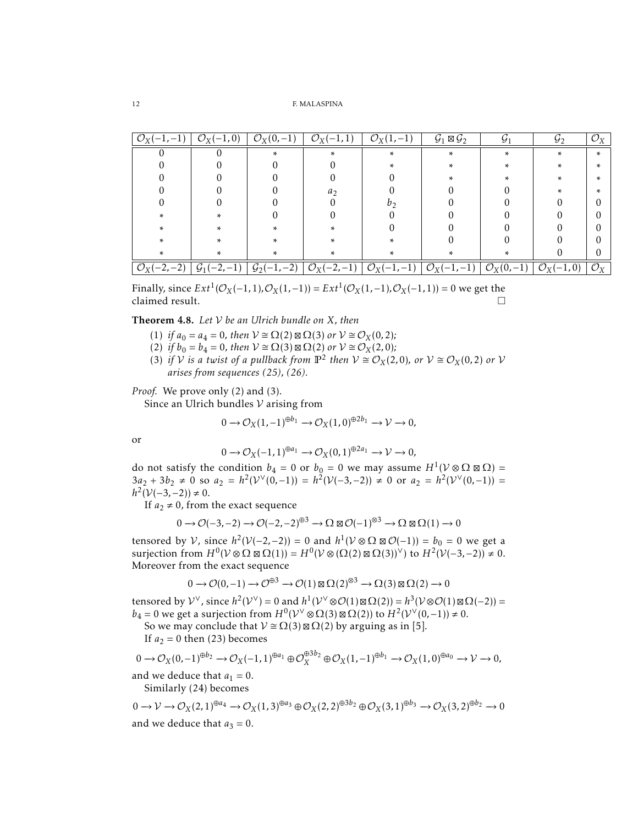12 F. MALASPINA

| $\mathcal{O}_X($<br>$(-1,-1)$ | $\mathcal{O}_X(-1,0)$        | $\mathcal{O}_X(0,-1)$ | $\mathcal{O}_X(-1,1)$        | $\mathcal{O}_X(1,-1)$ | $\mathcal{G}_1 \boxtimes \mathcal{G}_2$ | $\mathcal{G}_1$       | $\mathcal{G}_2$                   | $\mathcal{O}_X$ |
|-------------------------------|------------------------------|-----------------------|------------------------------|-----------------------|-----------------------------------------|-----------------------|-----------------------------------|-----------------|
|                               |                              | ÷                     | ×                            | ×.                    | ×.                                      | ×.                    | ×.                                | ×.              |
|                               |                              |                       |                              |                       |                                         |                       |                                   |                 |
|                               |                              |                       |                              |                       |                                         |                       |                                   |                 |
|                               |                              |                       | $a_{2}$                      |                       |                                         |                       |                                   |                 |
|                               |                              |                       |                              | n٠                    |                                         |                       |                                   |                 |
|                               |                              |                       |                              |                       |                                         |                       |                                   |                 |
|                               |                              |                       |                              |                       |                                         |                       |                                   |                 |
|                               |                              |                       |                              |                       |                                         |                       |                                   |                 |
|                               |                              |                       |                              |                       |                                         |                       |                                   |                 |
| $(-2)$<br>$-2$                | $\mathcal{G}_1$<br>$[-2,-1]$ | $G_2(-1,-2)$          | $\mathcal{O}_X$<br>$(-2,-1)$ | $\mathcal{O}_X$       | $(-1,-1)$                               | $\mathcal{O}_X(0,-1)$ | $\mathcal{O}_{\rm Y}$<br>$(-1,0)$ | $\mathcal{O}_X$ |

Finally, since  $Ext^1(\mathcal{O}_X(-1,1), \mathcal{O}_X(1,-1)) = Ext^1(\mathcal{O}_X(1,-1), \mathcal{O}_X(-1,1)) = 0$  we get the claimed result.  $\Box$ 

Theorem 4.8. *Let* V *be an Ulrich bundle on X, then*

- $(1)$  *if*  $a_0 = a_4 = 0$ *, then*  $V \cong \Omega(2) \boxtimes \Omega(3)$  *or*  $V \cong \mathcal{O}_X(0, 2)$ *;*
- (2) *if*  $b_0 = b_4 = 0$ , then  $V \cong \Omega(3) \boxtimes \Omega(2)$  or  $V \cong \mathcal{O}_X(2,0)$ ;
- (3) if V is a twist of a pullback from  $\mathbb{P}^2$  then  $V \cong \mathcal{O}_X(2,0)$ *, or*  $V \cong \mathcal{O}_X(0,2)$  or V *arises from sequences (25), (26).*

*Proof.* We prove only (2) and (3).

Since an Ulrich bundles  $V$  arising from

$$
0 \to \mathcal{O}_X(1, -1)^{\oplus b_1} \to \mathcal{O}_X(1, 0)^{\oplus 2b_1} \to \mathcal{V} \to 0,
$$

or

$$
0 \to \mathcal{O}_X(-1,1)^{\oplus a_1} \to \mathcal{O}_X(0,1)^{\oplus 2a_1} \to \mathcal{V} \to 0,
$$

do not satisfy the condition  $b_4 = 0$  or  $b_0 = 0$  we may assume  $H^1(V \otimes \Omega \boxtimes \Omega) =$  $3a_2 + 3b_2 \neq 0$  so  $a_2 = h^2(V^{\vee}(0, -1)) = h^2(V(-3, -2)) \neq 0$  or  $a_2 = h^2(V^{\vee}(0, -1)) =$  $h^2(V(-3, -2)) \neq 0.$ 

If  $a_2 \neq 0$ , from the exact sequence

$$
0 \to \mathcal{O}(-3,-2) \to \mathcal{O}(-2,-2)^{\oplus 3} \to \Omega \boxtimes \mathcal{O}(-1)^{\otimes 3} \to \Omega \boxtimes \Omega(1) \to 0
$$

tensored by  $V$ , since  $h^2(V(-2,-2)) = 0$  and  $h^1(V \otimes \Omega \boxtimes \mathcal{O}(-1)) = b_0 = 0$  we get a surjection from  $H^0(\mathcal{V}\otimes \Omega \boxtimes \Omega(1)) = H^0(\mathcal{V}\otimes (\Omega(2) \boxtimes \Omega(3))^{\vee})$  to  $H^2(\mathcal{V}(-3,-2)) \neq 0$ . Moreover from the exact sequence

$$
0 \to \mathcal{O}(0, -1) \to \mathcal{O}^{\oplus 3} \to \mathcal{O}(1) \boxtimes \Omega(2)^{\otimes 3} \to \Omega(3) \boxtimes \Omega(2) \to 0
$$

tensored by  $\mathcal{V}^{\vee}$ , since  $h^2(\mathcal{V}^{\vee}) = 0$  and  $h^1(\mathcal{V}^{\vee} \otimes \mathcal{O}(1) \boxtimes \Omega(2)) = h^3(\mathcal{V} \otimes \mathcal{O}(1) \boxtimes \Omega(-2)) =$  $b_4 = 0$  we get a surjection from  $H^0(V^\vee \otimes \Omega(3) \boxtimes \Omega(2))$  to  $H^2(V^\vee(0,-1)) \neq 0$ .

So we may conclude that  $\mathcal{V} \cong \Omega(3) \boxtimes \Omega(2)$  by arguing as in [5].

If  $a_2 = 0$  then (23) becomes

$$
0 \to \mathcal{O}_X(0, -1)^{\oplus b_2} \to \mathcal{O}_X(-1, 1)^{\oplus a_1} \oplus \mathcal{O}_X^{\oplus 3b_2} \oplus \mathcal{O}_X(1, -1)^{\oplus b_1} \to \mathcal{O}_X(1, 0)^{\oplus a_0} \to \mathcal{V} \to 0,
$$

and we deduce that  $a_1 = 0$ .

Similarly (24) becomes

$$
0 \to \mathcal{V} \to \mathcal{O}_X(2, 1)^{\oplus a_4} \to \mathcal{O}_X(1, 3)^{\oplus a_3} \oplus \mathcal{O}_X(2, 2)^{\oplus 3b_2} \oplus \mathcal{O}_X(3, 1)^{\oplus b_3} \to \mathcal{O}_X(3, 2)^{\oplus b_2} \to 0
$$
  
and we deduce that  $a_3 = 0$ .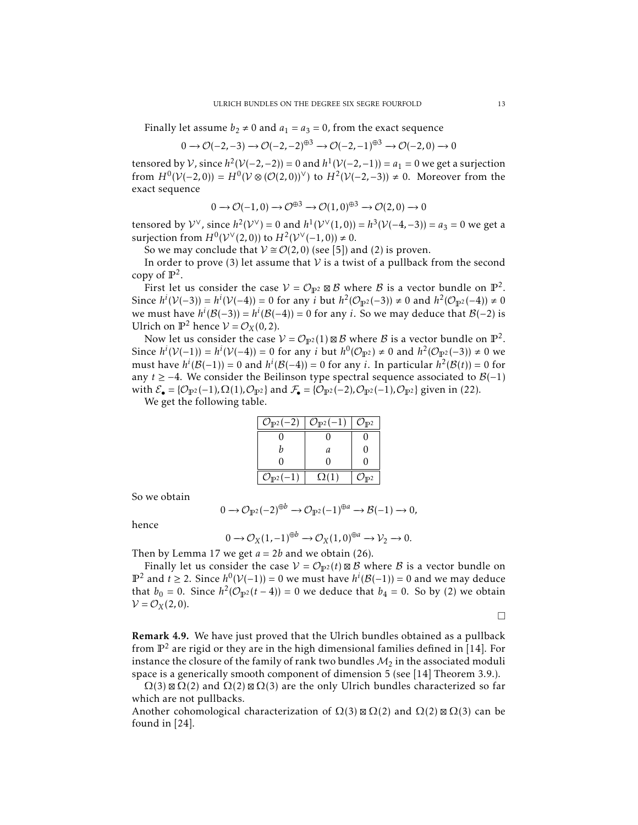Finally let assume  $b_2 \neq 0$  and  $a_1 = a_3 = 0$ , from the exact sequence

$$
0 \to \mathcal{O}(-2,-3) \to \mathcal{O}(-2,-2)^{\oplus 3} \to \mathcal{O}(-2,-1)^{\oplus 3} \to \mathcal{O}(-2,0) \to 0
$$

tensored by  $V$ , since  $h^2(V(-2, -2)) = 0$  and  $h^1(V(-2, -1)) = a_1 = 0$  we get a surjection from  $H^0(V(-2,0)) = H^0(V \otimes (O(2,0))^{\vee})$  to  $H^2(V(-2,-3)) \neq 0$ . Moreover from the exact sequence

$$
0 \to \mathcal{O}(-1,0) \to \mathcal{O}^{\oplus 3} \to \mathcal{O}(1,0)^{\oplus 3} \to \mathcal{O}(2,0) \to 0
$$

tensored by  $V^{\vee}$ , since  $h^2(V^{\vee}) = 0$  and  $h^1(V^{\vee}(1,0)) = h^3(V(-4,-3)) = a_3 = 0$  we get a surjection from  $H^0(V^{\vee}(2,0))$  to  $H^2(V^{\vee}(-1,0)) \neq 0$ .

So we may conclude that  $V \cong \mathcal{O}(2,0)$  (see [5]) and (2) is proven.

In order to prove (3) let assume that  $V$  is a twist of a pullback from the second copy of  $\mathbb{P}^2$ .

First let us consider the case  $V = \mathcal{O}_{\mathbb{P}^2} \boxtimes \mathcal{B}$  where  $\mathcal B$  is a vector bundle on  $\mathbb{P}^2$ . Since  $h^i(V(-3)) = h^i(V(-4)) = 0$  for any *i* but  $h^2(\mathcal{O}_{\mathbb{P}^2}(-3)) \neq 0$  and  $h^2(\mathcal{O}_{\mathbb{P}^2}(-4)) \neq 0$ we must have  $h^i(\mathcal{B}(-3)) = h^i(\mathcal{B}(-4)) = 0$  for any *i*. So we may deduce that  $\mathcal{B}(-2)$  is Ulrich on  $\mathbb{P}^2$  hence  $V = \mathcal{O}_X(0, 2)$ .

Now let us consider the case  $V = \mathcal{O}_{\mathbb{P}^2}(1) \boxtimes \mathcal{B}$  where  $\mathcal B$  is a vector bundle on  $\mathbb{P}^2$ . Since  $h^i(V(-1)) = h^i(V(-4)) = 0$  for any *i* but  $h^0(\mathcal{O}_{\mathbb{P}^2}) \neq 0$  and  $h^2(\mathcal{O}_{\mathbb{P}^2}(-3)) \neq 0$  we must have  $h^i(\mathcal{B}(-1)) = 0$  and  $h^i(\mathcal{B}(-4)) = 0$  for any *i*. In particular  $h^2(\mathcal{B}(t)) = 0$  for any  $t \ge -4$ . We consider the Beilinson type spectral sequence associated to  $\mathcal{B}(-1)$ with  $\mathcal{E}_{\bullet} = \{\mathcal{O}_{\mathbb{P}^2}(-1), \Omega(1), \mathcal{O}_{\mathbb{P}^2}\}$  and  $\mathcal{F}_{\bullet} = \{\mathcal{O}_{\mathbb{P}^2}(-2), \mathcal{O}_{\mathbb{P}^2}(-1), \mathcal{O}_{\mathbb{P}^2}\}$  given in (22).

We get the following table.

| $\mathcal{O}_{\mathbb{P}^2}(-2)   \mathcal{O}_{\mathbb{P}^2}(-1)$ |             | $\mathcal{O}_{{\mathbb P}^2}$ |
|-------------------------------------------------------------------|-------------|-------------------------------|
|                                                                   |             |                               |
|                                                                   | а           |                               |
|                                                                   |             |                               |
| $\mathcal{O}_{\mathbb{P}^2}(-1)$                                  | $\Omega(1)$ | P <sub>2</sub>                |

So we obtain

$$
0 \to \mathcal{O}_{\mathbb{P}^2}(-2)^{\oplus b} \to \mathcal{O}_{\mathbb{P}^2}(-1)^{\oplus a} \to \mathcal{B}(-1) \to 0,
$$

hence

$$
0 \to \mathcal{O}_X(1, -1)^{\oplus b} \to \mathcal{O}_X(1, 0)^{\oplus a} \to \mathcal{V}_2 \to 0.
$$

Then by Lemma 17 we get  $a = 2b$  and we obtain (26).

Finally let us consider the case  $V = \mathcal{O}_{\mathbb{P}^2}(t) \boxtimes \mathcal{B}$  where  $\mathcal B$  is a vector bundle on  $\mathbb{P}^2$  and *t* ≥ 2. Since *h*<sup>0</sup>( $\mathcal{V}(-1)$ ) = 0 we must have *h<sup>i</sup>*( $\mathcal{B}(-1)$ ) = 0 and we may deduce that  $b_0 = 0$ . Since  $h^2(\mathcal{O}_{\mathbb{P}^2}(t-4)) = 0$  we deduce that  $b_4 = 0$ . So by (2) we obtain  $V = \mathcal{O}_X(2,0).$ 

 $\Box$ 

Remark 4.9. We have just proved that the Ulrich bundles obtained as a pullback from  $\mathbb{P}^2$  are rigid or they are in the high dimensional families defined in [14]. For instance the closure of the family of rank two bundles  $M_2$  in the associated moduli space is a generically smooth component of dimension 5 (see [14] Theorem 3.9.).

 $\Omega(3)$  ⊠  $\Omega(2)$  and  $\Omega(2)$  ⊠  $\Omega(3)$  are the only Ulrich bundles characterized so far which are not pullbacks.

Another cohomological characterization of  $\Omega(3)$  ⊠  $\Omega(2)$  and  $\Omega(2)$  ⊠  $\Omega(3)$  can be found in [24].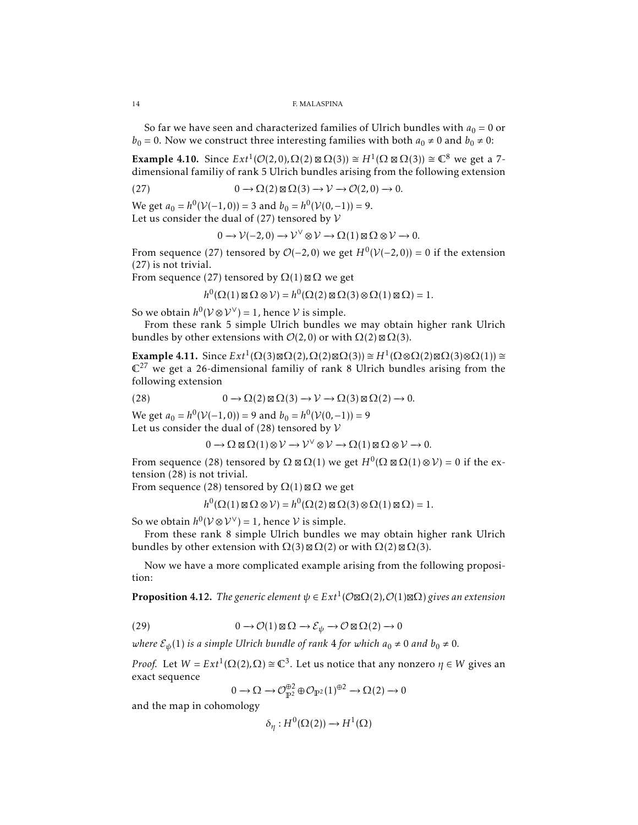So far we have seen and characterized families of Ulrich bundles with  $a_0 = 0$  or  $b_0 = 0$ . Now we construct three interesting families with both  $a_0 \neq 0$  and  $b_0 \neq 0$ :

**Example 4.10.** Since  $Ext^1(\mathcal{O}(2,0), \Omega(2) \boxtimes \Omega(3)) \cong H^1(\Omega \boxtimes \Omega(3)) \cong \mathbb{C}^8$  we get a 7dimensional familiy of rank 5 Ulrich bundles arising from the following extension

(27) 
$$
0 \to \Omega(2) \boxtimes \Omega(3) \to V \to \mathcal{O}(2,0) \to 0.
$$

We get  $a_0 = h^0(\mathcal{V}(-1, 0)) = 3$  and  $b_0 = h^0(\mathcal{V}(0, -1)) = 9$ . Let us consider the dual of (27) tensored by  $V$ 

$$
0 \to \mathcal{V}(-2,0) \to \mathcal{V}^{\vee} \otimes \mathcal{V} \to \Omega(1) \boxtimes \Omega \otimes \mathcal{V} \to 0.
$$

From sequence (27) tensored by  $O(-2, 0)$  we get  $H^0(V(-2, 0)) = 0$  if the extension (27) is not trivial.

From sequence (27) tensored by  $\Omega(1)\boxtimes\Omega$  we get

$$
h^{0}(\Omega(1) \boxtimes \Omega \otimes V) = h^{0}(\Omega(2) \boxtimes \Omega(3) \otimes \Omega(1) \boxtimes \Omega) = 1.
$$

So we obtain  $h^0(V \otimes V^{\vee}) = 1$ , hence V is simple.

From these rank 5 simple Ulrich bundles we may obtain higher rank Ulrich bundles by other extensions with  $\mathcal{O}(2,0)$  or with  $\Omega(2)\boxtimes\Omega(3).$ 

**Example 4.11.** Since  $Ext^1(\Omega(3) \boxtimes \Omega(2), \Omega(2) \boxtimes \Omega(3)) \cong H^1(\Omega \otimes \Omega(2) \boxtimes \Omega(3) \otimes \Omega(1)) \cong$  $\mathbb{C}^{27}$  we get a 26-dimensional familiy of rank 8 Ulrich bundles arising from the following extension

(28) 
$$
0 \to \Omega(2) \boxtimes \Omega(3) \to \mathcal{V} \to \Omega(3) \boxtimes \Omega(2) \to 0.
$$

We get  $a_0 = h^0(\mathcal{V}(-1, 0)) = 9$  and  $b_0 = h^0(\mathcal{V}(0, -1)) = 9$ Let us consider the dual of (28) tensored by  ${\cal V}$ 

$$
0\longrightarrow \Omega\boxtimes\Omega(1)\otimes \mathcal{V}\longrightarrow \mathcal{V}^{\vee}\otimes \mathcal{V}\longrightarrow \Omega(1)\boxtimes \Omega\otimes \mathcal{V}\longrightarrow 0.
$$

From sequence (28) tensored by  $\Omega \boxtimes \Omega(1)$  we get  $H^0(\Omega \boxtimes \Omega(1) \otimes \mathcal{V}) = 0$  if the extension (28) is not trivial.

From sequence (28) tensored by  $\Omega(1)\boxtimes\Omega$  we get

 $h^0(\Omega(1) \boxtimes \Omega \otimes V) = h^0(\Omega(2) \boxtimes \Omega(3) \otimes \Omega(1) \boxtimes \Omega) = 1.$ 

So we obtain  $h^0(V \otimes V^\vee) = 1$ , hence V is simple.

From these rank 8 simple Ulrich bundles we may obtain higher rank Ulrich bundles by other extension with  $\Omega(3)$  ⊠  $\Omega(2)$  or with  $\Omega(2)$  ⊠  $\Omega(3).$ 

Now we have a more complicated example arising from the following proposition:

**Proposition 4.12.** *The generic element*  $\psi \in Ext^1(\mathcal{O}\boxtimes\Omega(2),\mathcal{O}(1)\boxtimes\Omega)$  *gives an extension* 

(29) 
$$
0 \to \mathcal{O}(1) \boxtimes \Omega \to \mathcal{E}_{\psi} \to \mathcal{O} \boxtimes \Omega(2) \to 0
$$

*where*  $\mathcal{E}_{\psi}(1)$  *is a simple Ulrich bundle of rank* 4 *for which*  $a_0 \neq 0$  *and*  $b_0 \neq 0$ *.* 

*Proof.* Let  $W = Ext^1(\Omega(2), \Omega) \cong \mathbb{C}^3$ . Let us notice that any nonzero  $\eta \in W$  gives an exact sequence

$$
0 \to \Omega \to \mathcal{O}_{\mathbb{P}^2}^{\oplus 2} \oplus \mathcal{O}_{\mathbb{P}^2}(1)^{\oplus 2} \to \Omega(2) \to 0
$$

and the map in cohomology

$$
\delta_{\eta}: H^0(\Omega(2)) \to H^1(\Omega)
$$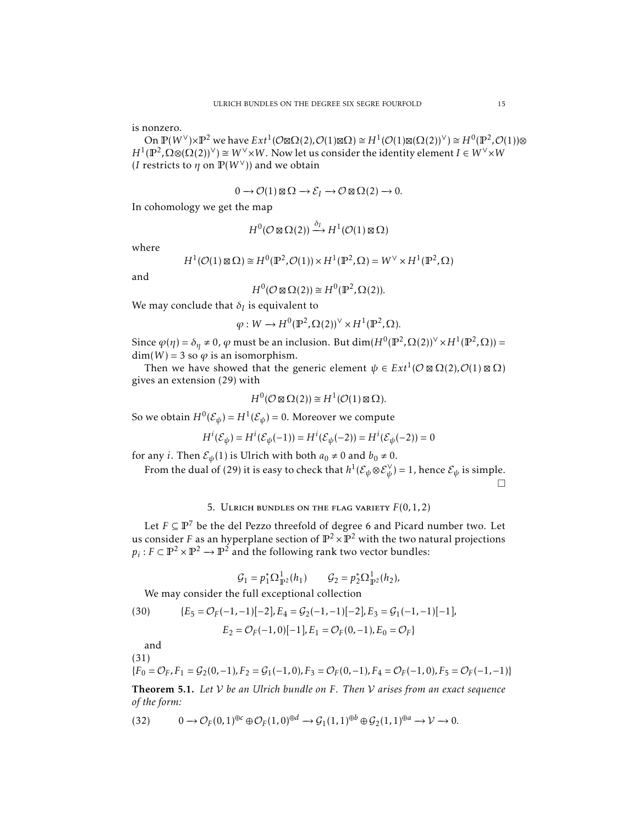is nonzero.

On  $\mathbb{P}(W^{\vee})\times \mathbb{P}^2$  we have  $Ext^1(\mathcal{O}\boxtimes \Omega(2), \mathcal{O}(1)\boxtimes \Omega) \cong H^1(\mathcal{O}(1)\boxtimes (\Omega(2))^{\vee}) \cong H^0(\mathbb{P}^2, \mathcal{O}(1))\otimes$  $H^1(\mathbb{P}^2,\Omega\otimes(\Omega(2))^{\vee})\cong W^{\vee}\times W$ . Now let us consider the identity element  $I\in W^{\vee}\times W$ (*I* restricts to  $\eta$  on  $\mathbb{P}(W^{\vee})$ ) and we obtain

$$
0 \to \mathcal{O}(1) \boxtimes \Omega \to \mathcal{E}_I \to \mathcal{O} \boxtimes \Omega(2) \to 0.
$$

In cohomology we get the map

$$
H^0(\mathcal{O}\boxtimes\Omega(2)) \xrightarrow{\delta_I} H^1(\mathcal{O}(1)\boxtimes\Omega)
$$

where

$$
H^1(\mathcal{O}(1) \boxtimes \Omega) \cong H^0(\mathbb{P}^2, \mathcal{O}(1)) \times H^1(\mathbb{P}^2, \Omega) = W^\vee \times H^1(\mathbb{P}^2, \Omega)
$$

and

$$
H^0(\mathcal{O}\boxtimes\Omega(2))\cong H^0(\mathbb{P}^2,\Omega(2)).
$$

We may conclude that  $\delta_I$  is equivalent to

$$
\varphi: W \to H^0(\mathbb{P}^2, \Omega(2))^{\vee} \times H^1(\mathbb{P}^2, \Omega).
$$

Since  $\varphi(\eta) = \delta_{\eta} \neq 0$ ,  $\varphi$  must be an inclusion. But dim( $H^0(\mathbb{P}^2, \Omega(2))^{\vee} \times H^1(\mathbb{P}^2, \Omega)$ ) =  $dim(W) = 3$  so  $\varphi$  is an isomorphism.

Then we have showed that the generic element  $\psi \in Ext^1(\mathcal{O} \boxtimes \Omega(2), \mathcal{O}(1) \boxtimes \Omega)$ gives an extension (29) with

$$
H^0(\mathcal{O}\boxtimes\Omega(2))\cong H^1(\mathcal{O}(1)\boxtimes\Omega).
$$

So we obtain  $H^0(\mathcal{E}_\psi) = H^1(\mathcal{E}_\psi) = 0.$  Moreover we compute

$$
H^{i}(\mathcal{E}_{\psi}) = H^{i}(\mathcal{E}_{\psi}(-1)) = H^{i}(\mathcal{E}_{\psi}(-2)) = H^{i}(\mathcal{E}_{\psi}(-2)) = 0
$$

for any *i*. Then  $\mathcal{E}_{\psi}(1)$  is Ulrich with both  $a_0 \neq 0$  and  $b_0 \neq 0$ .

From the dual of (29) it is easy to check that  $h^1(\mathcal{E}_{\psi} \otimes \mathcal{E}_{\psi}^{\vee}) = 1$ , hence  $\mathcal{E}_{\psi}$  is simple.  $\Box$ 

## 5. ULRICH BUNDLES ON THE FLAG VARIETY  $F(0,1,2)$

Let  $F \subseteq \mathbb{P}^7$  be the del Pezzo threefold of degree 6 and Picard number two. Let us consider *F* as an hyperplane section of  $\mathbb{P}^2 \times \mathbb{P}^2$  with the two natural projections  $p_i: F \subset \mathbb{P}^2 \times \mathbb{P}^2 \to \mathbb{P}^2$  and the following rank two vector bundles:

$$
G_1 = p_1^* \Omega_{\mathbb{P}^2}^1(h_1) \qquad G_2 = p_2^* \Omega_{\mathbb{P}^2}^1(h_2),
$$

We may consider the full exceptional collection

(30) 
$$
\{E_5 = \mathcal{O}_F(-1, -1)[-2], E_4 = \mathcal{G}_2(-1, -1)[-2], E_3 = \mathcal{G}_1(-1, -1)[-1],
$$

$$
E_2 = \mathcal{O}_F(-1, 0)[-1], E_1 = \mathcal{O}_F(0, -1), E_0 = \mathcal{O}_F\}
$$

and

(31)

$$
\{F_0 = \mathcal{O}_F, F_1 = \mathcal{G}_2(0, -1), F_2 = \mathcal{G}_1(-1, 0), F_3 = \mathcal{O}_F(0, -1), F_4 = \mathcal{O}_F(-1, 0), F_5 = \mathcal{O}_F(-1, -1)\}
$$

Theorem 5.1. *Let* V *be an Ulrich bundle on F. Then* V *arises from an exact sequence of the form:*

(32) 
$$
0 \to \mathcal{O}_F(0,1)^{\oplus c} \oplus \mathcal{O}_F(1,0)^{\oplus d} \to \mathcal{G}_1(1,1)^{\oplus b} \oplus \mathcal{G}_2(1,1)^{\oplus a} \to \mathcal{V} \to 0.
$$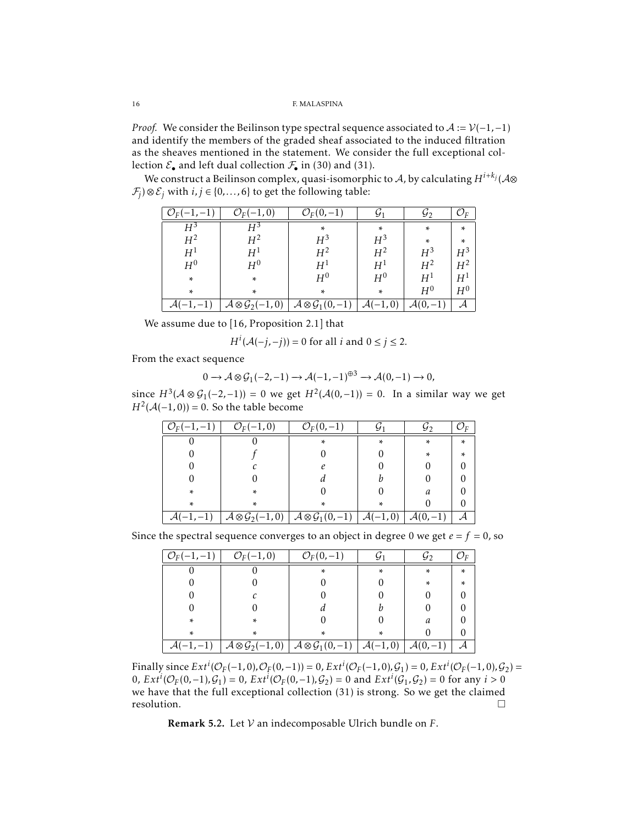*Proof.* We consider the Beilinson type spectral sequence associated to  $A := V(-1, -1)$ and identify the members of the graded sheaf associated to the induced filtration as the sheaves mentioned in the statement. We consider the full exceptional collection  $\mathcal{E}_\bullet$  and left dual collection  $\mathcal{F}_\bullet$  in (30) and (31).

We construct a Beilinson complex, quasi-isomorphic to  ${\cal A}$ , by calculating  $H^{i+k_j}({\cal A}\otimes$  $\mathcal{F}_j$ )⊗ $\mathcal{E}_j$  with *i, j* ∈ {0,..., 6} to get the following table:

|       | $\mathcal{O}_F(-1,0)$         | $\mathcal{O}_F(0,$                     | У1    | Y2             |                |
|-------|-------------------------------|----------------------------------------|-------|----------------|----------------|
| $H^3$ | $H^3$                         | ÷                                      | *     | *              | ×.             |
| $H^2$ | $H^2$                         | $H^3$                                  | $H^3$ | *              | ÷              |
| $H^1$ | $H^1$                         | $H^2$                                  | $H^2$ | $H^3$          | $H^3$          |
| $H^0$ | $H^0$                         | $H^1$                                  | $H^1$ | H <sup>2</sup> | H <sup>2</sup> |
| *     | *                             | $H^0$                                  | $H^0$ | $H^1$          | $H^1$          |
| ÷     | ÷                             | ÷                                      | ÷     | $H^0$          | $H^0$          |
|       | $A \otimes \mathcal{G}_2(-1)$ | $\mathcal{A} \otimes \mathcal{G}_1(0,$ |       |                |                |

We assume due to [16, Proposition 2.1] that

 $H^i(A(-j, -j)) = 0$  for all *i* and  $0 \le j \le 2$ .

From the exact sequence

$$
0 \to \mathcal{A} \otimes \mathcal{G}_1(-2,-1) \to \mathcal{A}(-1,-1)^{\oplus 3} \to \mathcal{A}(0,-1) \to 0,
$$

since  $H^3(A \otimes G_1(-2, -1)) = 0$  we get  $H^2(A(0, -1)) = 0$ . In a similar way we get  $H^2(A(-1,0)) = 0$ . So the table become

| $\mathcal{O}_F(-1,-1)$ | $\mathcal{O}_F(-1,0)$                              | $\mathcal{O}_F(0,-1)$                              | У1       | Уゥ |    |
|------------------------|----------------------------------------------------|----------------------------------------------------|----------|----|----|
|                        |                                                    | ×                                                  | ÷        | *  | ×. |
|                        |                                                    |                                                    |          | ÷  | ×. |
|                        |                                                    |                                                    |          |    |    |
|                        |                                                    | а                                                  |          |    |    |
| ÷                      | ÷                                                  |                                                    |          | a  |    |
| ÷                      | ÷                                                  | ÷                                                  | ÷        |    |    |
|                        | $\overline{\mathcal{A}\otimes\mathcal{G}}_2(-1,0)$ | $\overline{\mathcal{A}\otimes\mathcal{G}}_1(0,-1)$ | $(-1,0)$ |    |    |

Since the spectral sequence converges to an object in degree 0 we get  $e = f = 0$ , so

| $\mathcal{O}_F(-1,-1)$ | $\mathcal{O}_F(-1,0)$                              | $\mathcal{O}_F(0,-1)$                              | 91                | yゥ  |   |
|------------------------|----------------------------------------------------|----------------------------------------------------|-------------------|-----|---|
|                        |                                                    |                                                    | *                 | ÷   | ÷ |
|                        |                                                    |                                                    |                   | ÷   | × |
|                        |                                                    |                                                    |                   |     |   |
|                        |                                                    | а                                                  |                   |     |   |
| ÷                      | ÷                                                  |                                                    |                   | a   |   |
| ÷                      | ÷                                                  |                                                    | ÷                 |     |   |
|                        | $\overline{\mathcal{A}\otimes\mathcal{G}}_2(-1,0)$ | $\overline{\mathcal{A}\otimes\mathcal{G}}_1(0,-1)$ | $\left( 0\right)$ | (0) |   |

*Finally since*  $Ext^{i}(\mathcal{O}_{F}(-1,0), \mathcal{O}_{F}(0,-1)) = 0$ *,*  $Ext^{i}(\mathcal{O}_{F}(-1,0), \mathcal{G}_{1}) = 0$ *,*  $Ext^{i}(\mathcal{O}_{F}(-1,0), \mathcal{G}_{2}) = 0$ 0,  $Ext^{i}(\mathcal{O}_{F}(0,-1),\mathcal{G}_{1}) = 0$ ,  $Ext^{i}(\mathcal{O}_{F}(0,-1),\mathcal{G}_{2}) = 0$  and  $Ext^{i}(\mathcal{G}_{1},\mathcal{G}_{2}) = 0$  for any *i* > 0 we have that the full exceptional collection (31) is strong. So we get the claimed resolution.

Remark 5.2. Let V an indecomposable Ulrich bundle on *F*.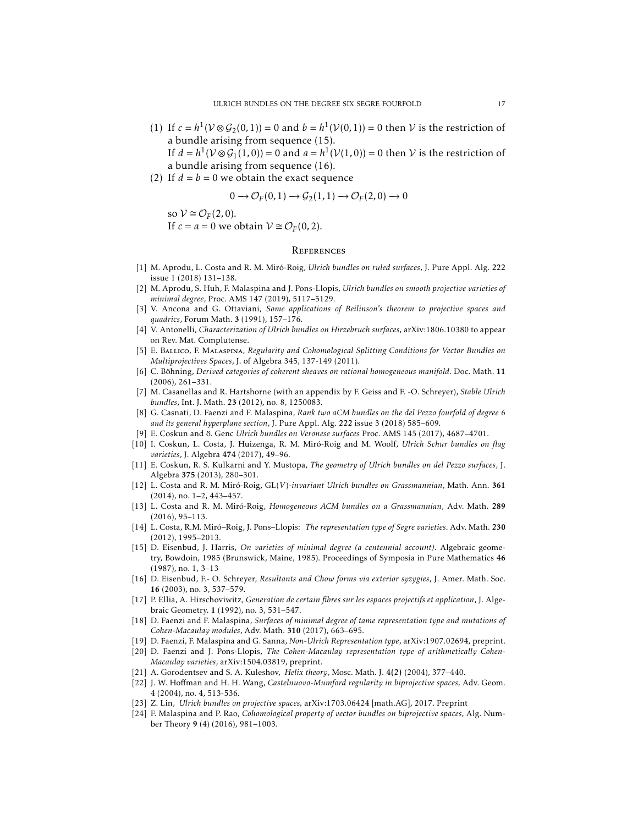- (1) If  $c = h^1$  ( $V \otimes G_2(0, 1)$ ) = 0 and  $b = h^1$  ( $V(0, 1)$ ) = 0 then  $V$  is the restriction of a bundle arising from sequence (15).
	- If  $d = h^1(\mathcal{V} \otimes \mathcal{G}_1(1,0)) = 0$  and  $a = h^1(\mathcal{V}(1,0)) = 0$  then  $\mathcal{V}$  is the restriction of a bundle arising from sequence (16).
- (2) If  $d = b = 0$  we obtain the exact sequence

$$
0 \to \mathcal{O}_F(0,1) \to \mathcal{G}_2(1,1) \to \mathcal{O}_F(2,0) \to 0
$$

so  $V \cong \mathcal{O}_F(2,0)$ .

If  $c = a = 0$  we obtain  $V \cong \mathcal{O}_F(0, 2)$ .

#### **REFERENCES**

- [1] M. Aprodu, L. Costa and R. M. Miro-Roig, ´ *Ulrich bundles on ruled surfaces*, J. Pure Appl. Alg. 222 issue 1 (2018) 131–138.
- [2] M. Aprodu, S. Huh, F. Malaspina and J. Pons-Llopis, *Ulrich bundles on smooth projective varieties of minimal degree*, Proc. AMS 147 (2019), 5117–5129.
- [3] V. Ancona and G. Ottaviani, *Some applications of Beilinson's theorem to projective spaces and quadrics*, Forum Math. 3 (1991), 157–176.
- [4] V. Antonelli, *Characterization of Ulrich bundles on Hirzebruch surfaces*, arXiv:1806.10380 to appear on Rev. Mat. Complutense.
- [5] E. Ballico, F. Malaspina, *Regularity and Cohomological Splitting Conditions for Vector Bundles on Multiprojectives Spaces*, J. of Algebra 345, 137-149 (2011).
- [6] C. Böhning, *Derived categories of coherent sheaves on rational homogeneous manifold*. Doc. Math. 11 (2006), 261–331.
- [7] M. Casanellas and R. Hartshorne (with an appendix by F. Geiss and F. -O. Schreyer), *Stable Ulrich bundles*, Int. J. Math. 23 (2012), no. 8, 1250083.
- [8] G. Casnati, D. Faenzi and F. Malaspina, *Rank two aCM bundles on the del Pezzo fourfold of degree 6 and its general hyperplane section*, J. Pure Appl. Alg. 222 issue 3 (2018) 585–609.
- [9] E. Coskun and ö. Genc Ulrich bundles on Veronese surfaces Proc. AMS 145 (2017), 4687-4701.
- [10] I. Coskun, L. Costa, J. Huizenga, R. M. Miro-Roig and M. Woolf, ´ *Ulrich Schur bundles on flag varieties*, J. Algebra 474 (2017), 49–96.
- [11] E. Coskun, R. S. Kulkarni and Y. Mustopa, *The geometry of Ulrich bundles on del Pezzo surfaces*, J. Algebra 375 (2013), 280–301.
- [12] L. Costa and R. M. Miro-Roig, GL( ´ *V* )*-invariant Ulrich bundles on Grassmannian*, Math. Ann. 361 (2014), no. 1–2, 443–457.
- [13] L. Costa and R. M. Miró-Roig, *Homogeneous ACM bundles on a Grassmannian*, Adv. Math. 289 (2016), 95–113.
- [14] L. Costa, R.M. Miro–Roig, J. Pons–Llopis: ´ *The representation type of Segre varieties*. Adv. Math. 230 (2012), 1995–2013.
- [15] D. Eisenbud, J. Harris, *On varieties of minimal degree (a centennial account)*. Algebraic geometry, Bowdoin, 1985 (Brunswick, Maine, 1985). Proceedings of Symposia in Pure Mathematics 46 (1987), no. 1, 3–13
- [16] D. Eisenbud, F.- O. Schreyer, *Resultants and Chow forms via exterior syzygies*, J. Amer. Math. Soc. 16 (2003), no. 3, 537–579.
- [17] P. Ellia, A. Hirschoviwitz, *Generation de certain fibres sur les espaces projectifs et application*, J. Algebraic Geometry. 1 (1992), no. 3, 531–547.
- [18] D. Faenzi and F. Malaspina, *Surfaces of minimal degree of tame representation type and mutations of Cohen-Macaulay modules*, Adv. Math. 310 (2017), 663–695.
- [19] D. Faenzi, F. Malaspina and G. Sanna, *Non-Ulrich Representation type*, arXiv:1907.02694, preprint.
- [20] D. Faenzi and J. Pons-Llopis, *The Cohen-Macaulay representation type of arithmetically Cohen-Macaulay varieties*, arXiv:1504.03819, preprint.
- [21] A. Gorodentsev and S. A. Kuleshov, *Helix theory*, Mosc. Math. J. 4(2) (2004), 377–440.
- [22] J. W. Hoffman and H. H. Wang, *Castelnuovo-Mumford regularity in biprojective spaces,* Adv. Geom. 4 (2004), no. 4, 513-536.
- [23] Z. Lin, *Ulrich bundles on projective spaces,* arXiv:1703.06424 [math.AG], 2017. Preprint
- [24] F. Malaspina and P. Rao, *Cohomological property of vector bundles on biprojective spaces,* Alg. Number Theory 9 (4) (2016), 981–1003.